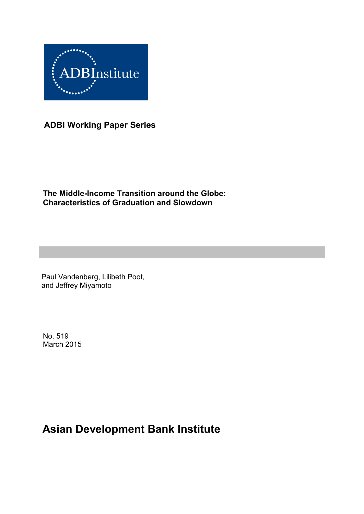

**ADBI Working Paper Series**

**The Middle-Income Transition around the Globe: Characteristics of Graduation and Slowdown**

Paul Vandenberg, Lilibeth Poot, and Jeffrey Miyamoto

No. 519 March 2015

# **Asian Development Bank Institute**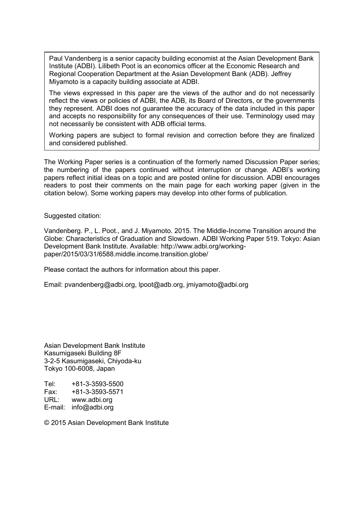Paul Vandenberg is a senior capacity building economist at the Asian Development Bank Institute (ADBI). Lilibeth Poot is an economics officer at the Economic Research and Regional Cooperation Department at the Asian Development Bank (ADB). Jeffrey Miyamoto is a capacity building associate at ADBI.

The views expressed in this paper are the views of the author and do not necessarily reflect the views or policies of ADBI, the ADB, its Board of Directors, or the governments they represent. ADBI does not guarantee the accuracy of the data included in this paper and accepts no responsibility for any consequences of their use. Terminology used may not necessarily be consistent with ADB official terms.

Working papers are subject to formal revision and correction before they are finalized and considered published.

The Working Paper series is a continuation of the formerly named Discussion Paper series; the numbering of the papers continued without interruption or change. ADBI's working papers reflect initial ideas on a topic and are posted online for discussion. ADBI encourages readers to post their comments on the main page for each working paper (given in the citation below). Some working papers may develop into other forms of publication.

Suggested citation:

Vandenberg. P., L. Poot., and J. Miyamoto. 2015. The Middle-Income Transition around the Globe: Characteristics of Graduation and Slowdown. ADBI Working Paper 519. Tokyo: Asian Development Bank Institute. Available: http://www.adbi.org/workingpaper/2015/03/31/6588.middle.income.transition.globe/

Please contact the authors for information about this paper.

Email: pvandenberg@adbi.org, lpoot@adb.org, jmiyamoto@adbi.org

Asian Development Bank Institute Kasumigaseki Building 8F 3-2-5 Kasumigaseki, Chiyoda-ku Tokyo 100-6008, Japan

Tel: +81-3-3593-5500<br>Fax: +81-3-3593-5571 Fax: +81-3-3593-5571 URL: www.adbi.org E-mail: info@adbi.org

© 2015 Asian Development Bank Institute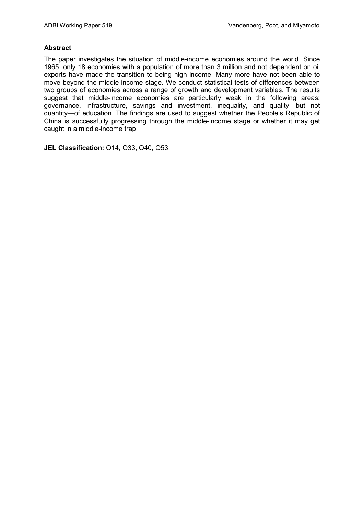#### **Abstract**

The paper investigates the situation of middle-income economies around the world. Since 1965, only 18 economies with a population of more than 3 million and not dependent on oil exports have made the transition to being high income. Many more have not been able to move beyond the middle-income stage. We conduct statistical tests of differences between two groups of economies across a range of growth and development variables. The results suggest that middle-income economies are particularly weak in the following areas: governance, infrastructure, savings and investment, inequality, and quality—but not quantity—of education. The findings are used to suggest whether the People's Republic of China is successfully progressing through the middle-income stage or whether it may get caught in a middle-income trap.

**JEL Classification:** O14, O33, O40, O53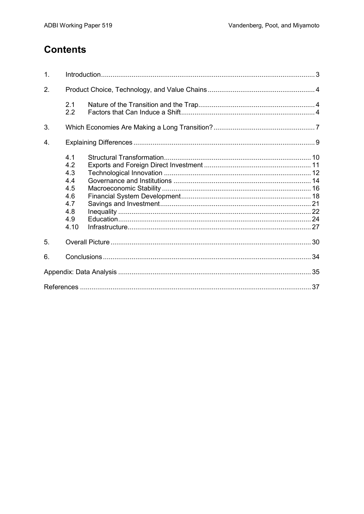## **Contents**

| 1. |                                                                     |  |
|----|---------------------------------------------------------------------|--|
| 2. |                                                                     |  |
|    | 2.1<br>2.2                                                          |  |
| 3. |                                                                     |  |
| 4. |                                                                     |  |
|    | 4.1<br>4.2<br>4.3<br>4.4<br>4.5<br>4.6<br>4.7<br>4.8<br>4.9<br>4.10 |  |
| 5. |                                                                     |  |
| 6. |                                                                     |  |
|    |                                                                     |  |
|    |                                                                     |  |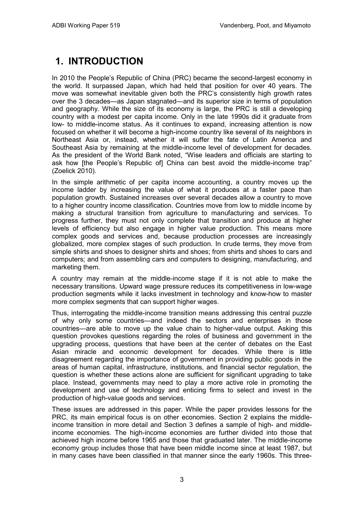# **1. INTRODUCTION**

In 2010 the People's Republic of China (PRC) became the second-largest economy in the world. It surpassed Japan, which had held that position for over 40 years. The move was somewhat inevitable given both the PRC's consistently high growth rates over the 3 decades—as Japan stagnated—and its superior size in terms of population and geography. While the size of its economy is large, the PRC is still a developing country with a modest per capita income. Only in the late 1990s did it graduate from low- to middle-income status. As it continues to expand, increasing attention is now focused on whether it will become a high-income country like several of its neighbors in Northeast Asia or, instead, whether it will suffer the fate of Latin America and Southeast Asia by remaining at the middle-income level of development for decades. As the president of the World Bank noted, "Wise leaders and officials are starting to ask how [the People's Republic of] China can best avoid the middle-income trap" (Zoelick 2010).

In the simple arithmetic of per capita income accounting, a country moves up the income ladder by increasing the value of what it produces at a faster pace than population growth. Sustained increases over several decades allow a country to move to a higher country income classification. Countries move from low to middle income by making a structural transition from agriculture to manufacturing and services. To progress further, they must not only complete that transition and produce at higher levels of efficiency but also engage in higher value production. This means more complex goods and services and, because production processes are increasingly globalized, more complex stages of such production. In crude terms, they move from simple shirts and shoes to designer shirts and shoes; from shirts and shoes to cars and computers; and from assembling cars and computers to designing, manufacturing, and marketing them.

A country may remain at the middle-income stage if it is not able to make the necessary transitions. Upward wage pressure reduces its competitiveness in low-wage production segments while it lacks investment in technology and know-how to master more complex segments that can support higher wages.

Thus, interrogating the middle-income transition means addressing this central puzzle of why only some countries—and indeed the sectors and enterprises in those countries—are able to move up the value chain to higher-value output. Asking this question provokes questions regarding the roles of business and government in the upgrading process, questions that have been at the center of debates on the East Asian miracle and economic development for decades. While there is little disagreement regarding the importance of government in providing public goods in the areas of human capital, infrastructure, institutions, and financial sector regulation, the question is whether these actions alone are sufficient for significant upgrading to take place. Instead, governments may need to play a more active role in promoting the development and use of technology and enticing firms to select and invest in the production of high-value goods and services.

These issues are addressed in this paper. While the paper provides lessons for the PRC, its main empirical focus is on other economies. Section 2 explains the middleincome transition in more detail and Section 3 defines a sample of high- and middleincome economies. The high-income economies are further divided into those that achieved high income before 1965 and those that graduated later. The middle-income economy group includes those that have been middle income since at least 1987, but in many cases have been classified in that manner since the early 1960s. This three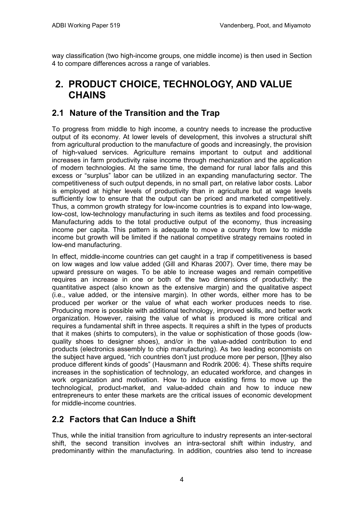way classification (two high-income groups, one middle income) is then used in Section 4 to compare differences across a range of variables.

## **2. PRODUCT CHOICE, TECHNOLOGY, AND VALUE CHAINS**

### **2.1 Nature of the Transition and the Trap**

To progress from middle to high income, a country needs to increase the productive output of its economy. At lower levels of development, this involves a structural shift from agricultural production to the manufacture of goods and increasingly, the provision of high-valued services. Agriculture remains important to output and additional increases in farm productivity raise income through mechanization and the application of modern technologies. At the same time, the demand for rural labor falls and this excess or "surplus" labor can be utilized in an expanding manufacturing sector. The competitiveness of such output depends, in no small part, on relative labor costs. Labor is employed at higher levels of productivity than in agriculture but at wage levels sufficiently low to ensure that the output can be priced and marketed competitively. Thus, a common growth strategy for low-income countries is to expand into low-wage, low-cost, low-technology manufacturing in such items as textiles and food processing. Manufacturing adds to the total productive output of the economy, thus increasing income per capita. This pattern is adequate to move a country from low to middle income but growth will be limited if the national competitive strategy remains rooted in low-end manufacturing.

In effect, middle-income countries can get caught in a trap if competitiveness is based on low wages and low value added (Gill and Kharas 2007). Over time, there may be upward pressure on wages. To be able to increase wages and remain competitive requires an increase in one or both of the two dimensions of productivity: the quantitative aspect (also known as the extensive margin) and the qualitative aspect (i.e., value added, or the intensive margin). In other words, either more has to be produced per worker or the value of what each worker produces needs to rise. Producing more is possible with additional technology, improved skills, and better work organization. However, raising the value of what is produced is more critical and requires a fundamental shift in three aspects. It requires a shift in the types of products that it makes (shirts to computers), in the value or sophistication of those goods (lowquality shoes to designer shoes), and/or in the value-added contribution to end products (electronics assembly to chip manufacturing). As two leading economists on the subject have argued, "rich countries don't just produce more per person, [t]hey also produce different kinds of goods" (Hausmann and Rodrik 2006: 4). These shifts require increases in the sophistication of technology, an educated workforce, and changes in work organization and motivation. How to induce existing firms to move up the technological, product-market, and value-added chain and how to induce new entrepreneurs to enter these markets are the critical issues of economic development for middle-income countries.

### **2.2 Factors that Can Induce a Shift**

Thus, while the initial transition from agriculture to industry represents an inter-sectoral shift, the second transition involves an intra-sectoral shift within industry, and predominantly within the manufacturing. In addition, countries also tend to increase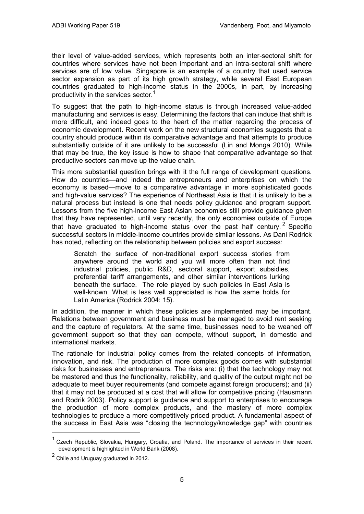their level of value-added services, which represents both an inter-sectoral shift for countries where services have not been important and an intra-sectoral shift where services are of low value. Singapore is an example of a country that used service sector expansion as part of its high growth strategy, while several East European countries graduated to high-income status in the 2000s, in part, by increasing productivity in the services sector.<sup>1</sup>

To suggest that the path to high-income status is through increased value-added manufacturing and services is easy. Determining the factors that can induce that shift is more difficult, and indeed goes to the heart of the matter regarding the process of economic development. Recent work on the new structural economies suggests that a country should produce within its comparative advantage and that attempts to produce substantially outside of it are unlikely to be successful (Lin and Monga 2010). While that may be true, the key issue is how to shape that comparative advantage so that productive sectors can move up the value chain.

This more substantial question brings with it the full range of development questions. How do countries—and indeed the entrepreneurs and enterprises on which the economy is based—move to a comparative advantage in more sophisticated goods and high-value services? The experience of Northeast Asia is that it is unlikely to be a natural process but instead is one that needs policy guidance and program support. Lessons from the five high-income East Asian economies still provide guidance given that they have represented, until very recently, the only economies outside of Europe that have graduated to high-income status over the past half century. <sup>2</sup> Specific successful sectors in middle-income countries provide similar lessons. As Dani Rodrick has noted, reflecting on the relationship between policies and export success:

Scratch the surface of non-traditional export success stories from anywhere around the world and you will more often than not find industrial policies, public R&D, sectoral support, export subsidies, preferential tariff arrangements, and other similar interventions lurking beneath the surface. The role played by such policies in East Asia is well-known. What is less well appreciated is how the same holds for Latin America (Rodrick 2004: 15).

In addition, the manner in which these policies are implemented may be important. Relations between government and business must be managed to avoid rent seeking and the capture of regulators. At the same time, businesses need to be weaned off government support so that they can compete, without support, in domestic and international markets.

The rationale for industrial policy comes from the related concepts of information, innovation, and risk. The production of more complex goods comes with substantial risks for businesses and entrepreneurs. The risks are: (i) that the technology may not be mastered and thus the functionality, reliability, and quality of the output might not be adequate to meet buyer requirements (and compete against foreign producers); and (ii) that it may not be produced at a cost that will allow for competitive pricing (Hausmann and Rodrik 2003). Policy support is guidance and support to enterprises to encourage the production of more complex products, and the mastery of more complex technologies to produce a more competitively priced product. A fundamental aspect of the success in East Asia was "closing the technology/knowledge gap" with countries

 $\overline{a}$ 

Czech Republic, Slovakia, Hungary, Croatia, and Poland. The importance of services in their recent development is highlighted in World Bank (2008).

<sup>2</sup> Chile and Uruguay graduated in 2012.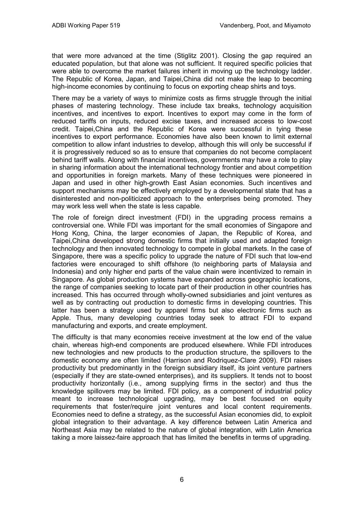that were more advanced at the time (Stiglitz 2001). Closing the gap required an educated population, but that alone was not sufficient. It required specific policies that were able to overcome the market failures inherit in moving up the technology ladder. The Republic of Korea, Japan, and Taipei,China did not make the leap to becoming high-income economies by continuing to focus on exporting cheap shirts and toys.

There may be a variety of ways to minimize costs as firms struggle through the initial phases of mastering technology. These include tax breaks, technology acquisition incentives, and incentives to export. Incentives to export may come in the form of reduced tariffs on inputs, reduced excise taxes, and increased access to low-cost credit. Taipei,China and the Republic of Korea were successful in tying these incentives to export performance. Economies have also been known to limit external competition to allow infant industries to develop, although this will only be successful if it is progressively reduced so as to ensure that companies do not become complacent behind tariff walls. Along with financial incentives, governments may have a role to play in sharing information about the international technology frontier and about competition and opportunities in foreign markets. Many of these techniques were pioneered in Japan and used in other high-growth East Asian economies. Such incentives and support mechanisms may be effectively employed by a developmental state that has a disinterested and non-politicized approach to the enterprises being promoted. They may work less well when the state is less capable.

The role of foreign direct investment (FDI) in the upgrading process remains a controversial one. While FDI was important for the small economies of Singapore and Hong Kong, China, the larger economies of Japan, the Republic of Korea, and Taipei,China developed strong domestic firms that initially used and adapted foreign technology and then innovated technology to compete in global markets. In the case of Singapore, there was a specific policy to upgrade the nature of FDI such that low-end factories were encouraged to shift offshore (to neighboring parts of Malaysia and Indonesia) and only higher end parts of the value chain were incentivized to remain in Singapore. As global production systems have expanded across geographic locations, the range of companies seeking to locate part of their production in other countries has increased. This has occurred through wholly-owned subsidiaries and joint ventures as well as by contracting out production to domestic firms in developing countries. This latter has been a strategy used by apparel firms but also electronic firms such as Apple. Thus, many developing countries today seek to attract FDI to expand manufacturing and exports, and create employment.

The difficulty is that many economies receive investment at the low end of the value chain, whereas high-end components are produced elsewhere. While FDI introduces new technologies and new products to the production structure, the spillovers to the domestic economy are often limited (Harrison and Rodriquez-Clare 2009). FDI raises productivity but predominantly in the foreign subsidiary itself, its joint venture partners (especially if they are state-owned enterprises), and its suppliers. It tends not to boost productivity horizontally (i.e., among supplying firms in the sector) and thus the knowledge spillovers may be limited. FDI policy, as a component of industrial policy meant to increase technological upgrading, may be best focused on equity requirements that foster/require joint ventures and local content requirements. Economies need to define a strategy, as the successful Asian economies did, to exploit global integration to their advantage. A key difference between Latin America and Northeast Asia may be related to the nature of global integration, with Latin America taking a more laissez-faire approach that has limited the benefits in terms of upgrading.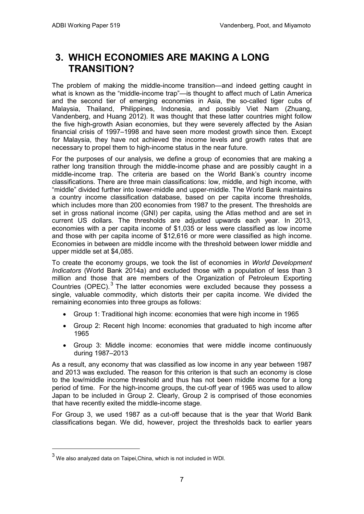## **3. WHICH ECONOMIES ARE MAKING A LONG TRANSITION?**

The problem of making the middle-income transition—and indeed getting caught in what is known as the "middle-income trap"—is thought to affect much of Latin America and the second tier of emerging economies in Asia, the so-called tiger cubs of Malaysia, Thailand, Philippines, Indonesia, and possibly Viet Nam (Zhuang, Vandenberg, and Huang 2012). It was thought that these latter countries might follow the five high-growth Asian economies, but they were severely affected by the Asian financial crisis of 1997–1998 and have seen more modest growth since then. Except for Malaysia, they have not achieved the income levels and growth rates that are necessary to propel them to high-income status in the near future.

For the purposes of our analysis, we define a group of economies that are making a rather long transition through the middle-income phase and are possibly caught in a middle-income trap. The criteria are based on the World Bank's country income classifications. There are three main classifications: low, middle, and high income, with "middle" divided further into lower-middle and upper-middle. The World Bank maintains a country income classification database, based on per capita income thresholds, which includes more than 200 economies from 1987 to the present. The thresholds are set in gross national income (GNI) per capita, using the Atlas method and are set in current US dollars. The thresholds are adjusted upwards each year. In 2013, economies with a per capita income of \$1,035 or less were classified as low income and those with per capita income of \$12,616 or more were classified as high income. Economies in between are middle income with the threshold between lower middle and upper middle set at \$4,085.

To create the economy groups, we took the list of economies in *World Development Indicators* (World Bank 2014a) and excluded those with a population of less than 3 million and those that are members of the Organization of Petroleum Exporting Countries (OPEC).<sup>3</sup> The latter economies were excluded because they possess a single, valuable commodity, which distorts their per capita income. We divided the remaining economies into three groups as follows:

- Group 1: Traditional high income: economies that were high income in 1965
- Group 2: Recent high Income: economies that graduated to high income after 1965
- Group 3: Middle income: economies that were middle income continuously during 1987–2013

As a result, any economy that was classified as low income in any year between 1987 and 2013 was excluded. The reason for this criterion is that such an economy is close to the low/middle income threshold and thus has not been middle income for a long period of time. For the high-income groups, the cut-off year of 1965 was used to allow Japan to be included in Group 2. Clearly, Group 2 is comprised of those economies that have recently exited the middle-income stage.

For Group 3, we used 1987 as a cut-off because that is the year that World Bank classifications began. We did, however, project the thresholds back to earlier years

 $\overline{a}$ 

 $3$  We also analyzed data on Taipei, China, which is not included in WDI.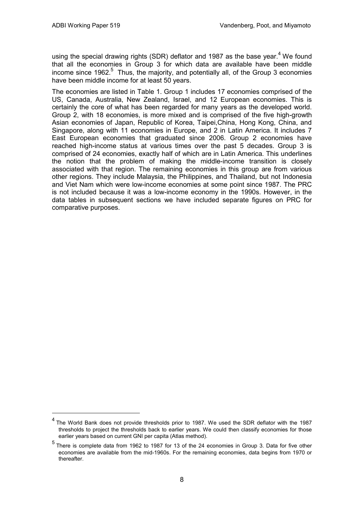$\overline{a}$ 

using the special drawing rights (SDR) deflator and 1987 as the base vear.<sup>4</sup> We found that all the economies in Group 3 for which data are available have been middle income since 1962.<sup>5</sup> Thus, the majority, and potentially all, of the Group 3 economies have been middle income for at least 50 years.

The economies are listed in Table 1. Group 1 includes 17 economies comprised of the US, Canada, Australia, New Zealand, Israel, and 12 European economies. This is certainly the core of what has been regarded for many years as the developed world. Group 2, with 18 economies, is more mixed and is comprised of the five high-growth Asian economies of Japan, Republic of Korea, Taipei,China, Hong Kong, China, and Singapore, along with 11 economies in Europe, and 2 in Latin America. It includes 7 East European economies that graduated since 2006. Group 2 economies have reached high-income status at various times over the past 5 decades. Group 3 is comprised of 24 economies, exactly half of which are in Latin America. This underlines the notion that the problem of making the middle-income transition is closely associated with that region. The remaining economies in this group are from various other regions. They include Malaysia, the Philippines, and Thailand, but not Indonesia and Viet Nam which were low-income economies at some point since 1987. The PRC is not included because it was a low-income economy in the 1990s. However, in the data tables in subsequent sections we have included separate figures on PRC for comparative purposes.

<sup>&</sup>lt;sup>4</sup> The World Bank does not provide thresholds prior to 1987. We used the SDR deflator with the 1987 thresholds to project the thresholds back to earlier years. We could then classify economies for those earlier years based on current GNI per capita (Atlas method).

 $<sup>5</sup>$  There is complete data from 1962 to 1987 for 13 of the 24 economies in Group 3. Data for five other</sup> economies are available from the mid-1960s. For the remaining economies, data begins from 1970 or thereafter.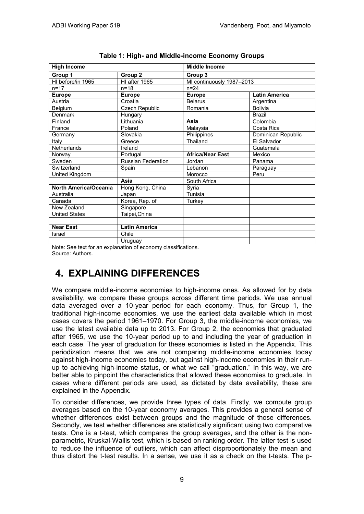| <b>High Income</b>    |                       | <b>Middle Income</b>      |                      |  |  |
|-----------------------|-----------------------|---------------------------|----------------------|--|--|
| Group 1               | Group 2               | Group 3                   |                      |  |  |
| HI before/in 1965     | HI after 1965         | MI continuously 1987-2013 |                      |  |  |
| $n = 17$              | $n = 18$              | $n = 24$                  |                      |  |  |
| <b>Europe</b>         | <b>Europe</b>         | <b>Europe</b>             | <b>Latin America</b> |  |  |
| Austria               | Croatia               | <b>Belarus</b>            | Argentina            |  |  |
| Belgium               | <b>Czech Republic</b> | Romania                   | <b>Bolivia</b>       |  |  |
| Denmark               | Hungary               |                           | <b>Brazil</b>        |  |  |
| Finland               | Lithuania             | Asia                      | Colombia             |  |  |
| France                | Poland                | Malaysia                  | Costa Rica           |  |  |
| Germany               | Slovakia              | Philippines               | Dominican Republic   |  |  |
| Italy                 | Greece                | Thailand                  | El Salvador          |  |  |
| Netherlands           | Ireland               |                           | Guatemala            |  |  |
| Norway                | Portugal              | <b>Africa/Near East</b>   | Mexico               |  |  |
| Sweden                | Russian Federation    | Jordan                    | Panama               |  |  |
| Switzerland           | Spain                 | Lebanon                   | Paraguay             |  |  |
| United Kingdom        |                       | Morocco                   | Peru                 |  |  |
|                       | Asia                  | South Africa              |                      |  |  |
| North America/Oceania | Hong Kong, China      | Syria                     |                      |  |  |
| Australia             | Japan                 | Tunisia                   |                      |  |  |
| Canada                | Korea, Rep. of        | Turkey                    |                      |  |  |
| New Zealand           | Singapore             |                           |                      |  |  |
| <b>United States</b>  | Taipei, China         |                           |                      |  |  |
|                       |                       |                           |                      |  |  |
| <b>Near East</b>      | <b>Latin America</b>  |                           |                      |  |  |
| Israel                | Chile                 |                           |                      |  |  |
|                       | Uruguay               |                           |                      |  |  |

| Table 1: High- and Middle-income Economy Groups |  |
|-------------------------------------------------|--|
|-------------------------------------------------|--|

Note: See text for an explanation of economy classifications. Source: Authors.

## **4. EXPLAINING DIFFERENCES**

We compare middle-income economies to high-income ones. As allowed for by data availability, we compare these groups across different time periods. We use annual data averaged over a 10-year period for each economy. Thus, for Group 1, the traditional high-income economies, we use the earliest data available which in most cases covers the period 1961–1970. For Group 3, the middle-income economies, we use the latest available data up to 2013. For Group 2, the economies that graduated after 1965, we use the 10-year period up to and including the year of graduation in each case. The year of graduation for these economies is listed in the Appendix. This periodization means that we are not comparing middle-income economies today against high-income economies today, but against high-income economies in their runup to achieving high-income status, or what we call "graduation." In this way, we are better able to pinpoint the characteristics that allowed these economies to graduate. In cases where different periods are used, as dictated by data availability, these are explained in the Appendix.

To consider differences, we provide three types of data. Firstly, we compute group averages based on the 10-year economy averages. This provides a general sense of whether differences exist between groups and the magnitude of those differences. Secondly, we test whether differences are statistically significant using two comparative tests. One is a t-test, which compares the group averages, and the other is the nonparametric, Kruskal-Wallis test, which is based on ranking order. The latter test is used to reduce the influence of outliers, which can affect disproportionately the mean and thus distort the t-test results. In a sense, we use it as a check on the t-tests. The p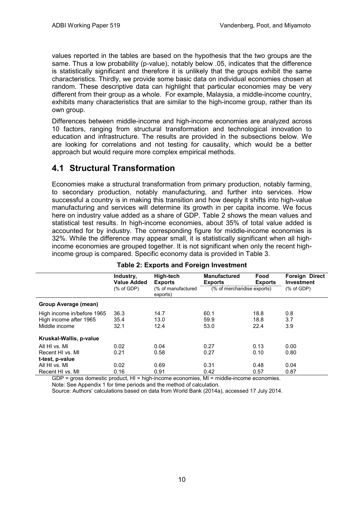values reported in the tables are based on the hypothesis that the two groups are the same. Thus a low probability (p-value), notably below .05, indicates that the difference is statistically significant and therefore it is unlikely that the groups exhibit the same characteristics. Thirdly, we provide some basic data on individual economies chosen at random. These descriptive data can highlight that particular economies may be very different from their group as a whole. For example, Malaysia, a middle-income country, exhibits many characteristics that are similar to the high-income group, rather than its own group.

Differences between middle-income and high-income economies are analyzed across 10 factors, ranging from structural transformation and technological innovation to education and infrastructure. The results are provided in the subsections below. We are looking for correlations and not testing for causality, which would be a better approach but would require more complex empirical methods.

### **4.1 Structural Transformation**

Economies make a structural transformation from primary production, notably farming, to secondary production, notably manufacturing, and further into services. How successful a country is in making this transition and how deeply it shifts into high-value manufacturing and services will determine its growth in per capita income. We focus here on industry value added as a share of GDP. Table 2 shows the mean values and statistical test results. In high-income economies, about 35% of total value added is accounted for by industry. The corresponding figure for middle-income economies is 32%. While the difference may appear small, it is statistically significant when all highincome economies are grouped together. It is not significant when only the recent highincome group is compared. Specific economy data is provided in Table 3.

|                            | Industry,<br><b>Value Added</b> | High-tech<br><b>Exports</b>    | <b>Manufactured</b><br><b>Exports</b> | Food<br><b>Exports</b> | <b>Foreign Direct</b><br>Investment |
|----------------------------|---------------------------------|--------------------------------|---------------------------------------|------------------------|-------------------------------------|
|                            | $(% )^{(1)}$ (% of GDP)         | (% of manufactured<br>exports) | (% of merchandise exports)            |                        | $%$ of GDP)                         |
| Group Average (mean)       |                                 |                                |                                       |                        |                                     |
| High income in/before 1965 | 36.3                            | 14.7                           | 60.1                                  | 18.8                   | 0.8                                 |
| High income after 1965     | 35.4                            | 13.0                           | 59.9                                  | 18.8                   | 3.7                                 |
| Middle income              | 32.1                            | 12.4                           | 53.0                                  | 22.4                   | 3.9                                 |
| Kruskal-Wallis, p-value    |                                 |                                |                                       |                        |                                     |
| All HI vs. MI              | 0.02                            | 0.04                           | 0.27                                  | 0.13                   | 0.00                                |
| Recent HI vs. MI           | 0.21                            | 0.58                           | 0.27                                  | 0.10                   | 0.80                                |
| t-test, p-value            |                                 |                                |                                       |                        |                                     |
| All HI vs. MI              | 0.02                            | 0.69                           | 0.31                                  | 0.48                   | 0.04                                |
| Recent HI vs. MI           | 0.16                            | 0.91                           | 0.42<br>.                             | 0.57                   | 0.87                                |

#### **Table 2: Exports and Foreign Investment**

GDP = gross domestic product, HI = high-income economies, MI = middle-income economies.

Note: See Appendix 1 for time periods and the method of calculation.

Source: Authors' calculations based on data from World Bank (2014a), accessed 17 July 2014.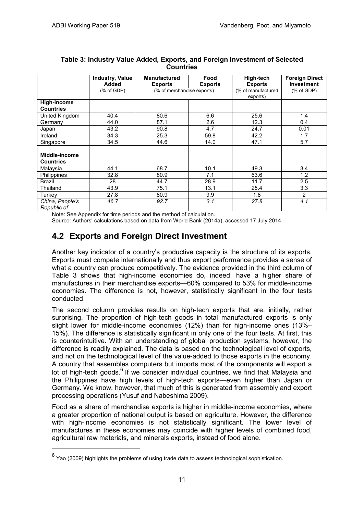|                                   | <b>Industry, Value</b><br>Added | <b>Manufactured</b><br><b>Exports</b> | Food<br><b>Exports</b> | High-tech<br><b>Exports</b>    | <b>Foreign Direct</b><br><b>Investment</b> |
|-----------------------------------|---------------------------------|---------------------------------------|------------------------|--------------------------------|--------------------------------------------|
|                                   | $(% )^{(1)}$ (% of GDP)         | (% of merchandise exports)            |                        | (% of manufactured<br>exports) | $(% )^{2}(x)$ of GDP)                      |
| High-income<br><b>Countries</b>   |                                 |                                       |                        |                                |                                            |
| United Kingdom                    | 40.4                            | 80.6                                  | 6.6                    | 25.6                           | 1.4                                        |
| Germany                           | 44.0                            | 87.1                                  | 2.6                    | 12.3                           | 0.4                                        |
| Japan                             | 43.2                            | 90.8                                  | 4.7                    | 24.7                           | 0.01                                       |
| Ireland                           | 34.3                            | 25.3                                  | 59.8                   | 42.2                           | 1.7                                        |
| Singapore                         | 34.5                            | 44.6                                  | 14.0                   | 47.1                           | 5.7                                        |
| Middle-income<br><b>Countries</b> |                                 |                                       |                        |                                |                                            |
| Malaysia                          | 44.1                            | 68.7                                  | 10.1                   | 49.3                           | 3.4                                        |
| <b>Philippines</b>                | 32.8                            | 80.9                                  | 7.1                    | 63.6                           | 1.2                                        |
| Brazil                            | 28                              | 44.7                                  | 28.9                   | 11.7                           | 2.5                                        |
| Thailand                          | 43.9                            | 75.1                                  | 13.1                   | 25.4                           | 3.3                                        |
| Turkey                            | 27.8                            | 80.9                                  | 9.9                    | 1.8                            | 2                                          |
| China, People's<br>Republic of    | 46.7                            | 92.7                                  | 3.1                    | 27.8                           | 4.1                                        |

#### **Table 3: Industry Value Added, Exports, and Foreign Investment of Selected Countries**

Note: See Appendix for time periods and the method of calculation.

Source: Authors' calculations based on data from World Bank (2014a), accessed 17 July 2014.

### **4.2 Exports and Foreign Direct Investment**

Another key indicator of a country's productive capacity is the structure of its exports. Exports must compete internationally and thus export performance provides a sense of what a country can produce competitively. The evidence provided in the third column of Table 3 shows that high-income economies do, indeed, have a higher share of manufactures in their merchandise exports—60% compared to 53% for middle-income economies. The difference is not, however, statistically significant in the four tests conducted.

The second column provides results on high-tech exports that are, initially, rather surprising. The proportion of high-tech goods in total manufactured exports is only slight lower for middle-income economies (12%) than for high-income ones (13%– 15%). The difference is statistically significant in only one of the four tests. At first, this is counterintuitive. With an understanding of global production systems, however, the difference is readily explained. The data is based on the technological level of exports, and not on the technological level of the value-added to those exports in the economy. A country that assembles computers but imports most of the components will export a lot of high-tech goods.<sup>6</sup> If we consider individual countries, we find that Malaysia and the Philippines have high levels of high-tech exports—even higher than Japan or Germany. We know, however, that much of this is generated from assembly and export processing operations (Yusuf and Nabeshima 2009).

Food as a share of merchandise exports is higher in middle-income economies, where a greater proportion of national output is based on agriculture. However, the difference with high-income economies is not statistically significant. The lower level of manufactures in these economies may coincide with higher levels of combined food, agricultural raw materials, and minerals exports, instead of food alone.

 $\overline{a}$ 

 $^6$  Yao (2009) highlights the problems of using trade data to assess technological sophistication.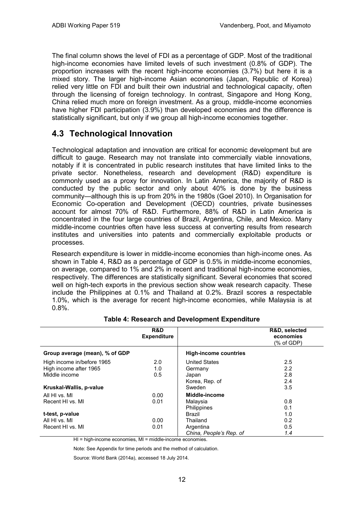The final column shows the level of FDI as a percentage of GDP. Most of the traditional high-income economies have limited levels of such investment (0.8% of GDP). The proportion increases with the recent high-income economies (3.7%) but here it is a mixed story. The larger high-income Asian economies (Japan, Republic of Korea) relied very little on FDI and built their own industrial and technological capacity, often through the licensing of foreign technology. In contrast, Singapore and Hong Kong, China relied much more on foreign investment. As a group, middle-income economies have higher FDI participation (3.9%) than developed economies and the difference is statistically significant, but only if we group all high-income economies together.

### **4.3 Technological Innovation**

Technological adaptation and innovation are critical for economic development but are difficult to gauge. Research may not translate into commercially viable innovations, notably if it is concentrated in public research institutes that have limited links to the private sector. Nonetheless, research and development (R&D) expenditure is commonly used as a proxy for innovation. In Latin America, the majority of R&D is conducted by the public sector and only about 40% is done by the business community—although this is up from 20% in the 1980s (Goel 2010). In Organisation for Economic Co-operation and Development (OECD) countries, private businesses account for almost 70% of R&D. Furthermore, 88% of R&D in Latin America is concentrated in the four large countries of Brazil, Argentina, Chile, and Mexico. Many middle-income countries often have less success at converting results from research institutes and universities into patents and commercially exploitable products or processes.

Research expenditure is lower in middle-income economies than high-income ones. As shown in Table 4, R&D as a percentage of GDP is 0.5% in middle-income economies, on average, compared to 1% and 2% in recent and traditional high-income economies, respectively. The differences are statistically significant. Several economies that scored well on high-tech exports in the previous section show weak research capacity. These include the Philippines at 0.1% and Thailand at 0.2%. Brazil scores a respectable 1.0%, which is the average for recent high-income economies, while Malaysia is at 0.8%.

|                                | <b>R&amp;D</b><br><b>Expenditure</b> |                              | R&D, selected<br>economies<br>(% of GDP) |
|--------------------------------|--------------------------------------|------------------------------|------------------------------------------|
| Group average (mean), % of GDP |                                      | <b>High-income countries</b> |                                          |
| High income in/before 1965     | 2.0                                  | <b>United States</b>         | 2.5                                      |
| High income after 1965         | 1.0                                  | Germany                      | 2.2                                      |
| Middle income                  | 0.5                                  | Japan                        | 2.8                                      |
|                                |                                      | Korea, Rep. of               | 2.4                                      |
| Kruskal-Wallis, p-value        |                                      | Sweden                       | 3.5                                      |
| All HI vs. MI                  | 0.00                                 | Middle-income                |                                          |
| Recent HI vs. MI               | 0.01                                 | Malaysia                     | 0.8                                      |
|                                |                                      | Philippines                  | 0.1                                      |
| t-test, p-value                |                                      | Brazil                       | 1.0                                      |
| All HI vs. MI                  | 0.00                                 | Thailand                     | 0.2                                      |
| Recent HI vs. MI               | 0.01                                 | Argentina                    | 0.5                                      |
|                                |                                      | China, People's Rep. of      | 1.4                                      |

#### **Table 4: Research and Development Expenditure**

HI = high-income economies, MI = middle-income economies.

Note: See Appendix for time periods and the method of calculation.

Source: World Bank (2014a), accessed 18 July 2014.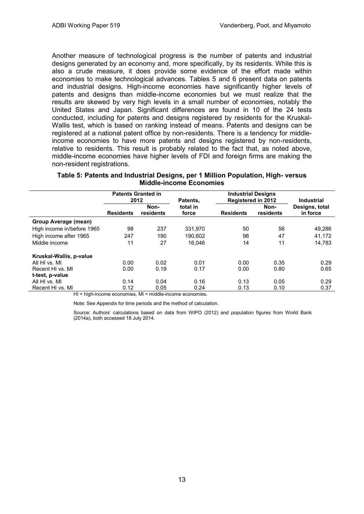Another measure of technological progress is the number of patents and industrial designs generated by an economy and, more specifically, by its residents. While this is also a crude measure, it does provide some evidence of the effort made within economies to make technological advances. Tables 5 and 6 present data on patents and industrial designs. High-income economies have significantly higher levels of patents and designs than middle-income economies but we must realize that the results are skewed by very high levels in a small number of economies, notably the United States and Japan. Significant differences are found in 10 of the 24 tests conducted, including for patents and designs registered by residents for the Kruskal-Wallis test, which is based on ranking instead of means. Patents and designs can be registered at a national patent office by non-residents. There is a tendency for middleincome economies to have more patents and designs registered by non-residents, relative to residents. This result is probably related to the fact that, as noted above, middle-income economies have higher levels of FDI and foreign firms are making the non-resident registrations.

|                            | <b>Patents Granted in</b><br>2012 |                   | Patents,          | <b>Industrial Designs</b><br><b>Registered in 2012</b> |                   | <b>Industrial</b>          |
|----------------------------|-----------------------------------|-------------------|-------------------|--------------------------------------------------------|-------------------|----------------------------|
|                            | <b>Residents</b>                  | Non-<br>residents | total in<br>force | <b>Residents</b>                                       | Non-<br>residents | Designs, total<br>in force |
| Group Average (mean)       |                                   |                   |                   |                                                        |                   |                            |
| High income in/before 1965 | 98                                | 237               | 331.970           | 50                                                     | 56                | 49,286                     |
| High income after 1965     | 247                               | 190               | 190.602           | 98                                                     | 47                | 41,172                     |
| Middle income              | 11                                | 27                | 16.046            | 14                                                     | 11                | 14.783                     |
| Kruskal-Wallis, p-value    |                                   |                   |                   |                                                        |                   |                            |
| All HI vs. MI              | 0.00                              | 0.02              | 0.01              | 0.00                                                   | 0.35              | 0.29                       |
| Recent HI vs. MI           | 0.00                              | 0.19              | 0.17              | 0.00                                                   | 0.80              | 0.65                       |
| t-test, p-value            |                                   |                   |                   |                                                        |                   |                            |
| All HI vs. MI              | 0.14                              | 0.04              | 0.16              | 0.13                                                   | 0.05              | 0.29                       |
| Recent HI vs. MI<br>.      | 0.12                              | 0.05              | 0.24              | 0.13                                                   | 0.10              | 0.37                       |

#### **Table 5: Patents and Industrial Designs, per 1 Million Population, High- versus Middle-income Economies**

HI = high-income economies, MI = middle-income economies.

Note: See Appendix for time periods and the method of calculation.

Source: Authors' calculations based on data from WIPO (2012) and population figures from World Bank (2014a), both accessed 18 July 2014.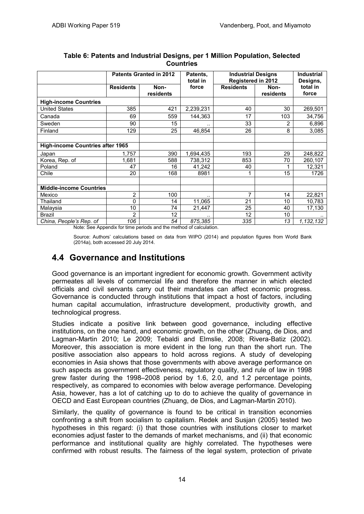|                                         | <b>Patents Granted in 2012</b> |                   | Patents,<br>total in | <b>Industrial Designs</b><br><b>Registered in 2012</b> |                   | <b>Industrial</b><br>Designs, |
|-----------------------------------------|--------------------------------|-------------------|----------------------|--------------------------------------------------------|-------------------|-------------------------------|
|                                         | <b>Residents</b>               | Non-<br>residents | force                | <b>Residents</b>                                       | Non-<br>residents | total in<br>force             |
| <b>High-income Countries</b>            |                                |                   |                      |                                                        |                   |                               |
| <b>United States</b>                    | 385                            | 421               | 2,239,231            | 40                                                     | 30                | 269,501                       |
| Canada                                  | 69                             | 559               | 144,363              | 17                                                     | 103               | 34,756                        |
| Sweden                                  | 90                             | 15                |                      | 33                                                     | 2                 | 6,896                         |
| Finland                                 | 129                            | 25                | 46,854               | 26                                                     | 8                 | 3,085                         |
|                                         |                                |                   |                      |                                                        |                   |                               |
| <b>High-income Countries after 1965</b> |                                |                   |                      |                                                        |                   |                               |
| Japan                                   | 1,757                          | 390               | 1,694,435            | 193                                                    | 29                | 248,822                       |
| Korea, Rep. of                          | 1,681                          | 588               | 738,312              | 853                                                    | 70                | 260,107                       |
| Poland                                  | 47                             | 16                | 41,242               | 40                                                     |                   | 12,321                        |
| Chile                                   | 20                             | 168               | 8981                 |                                                        | 15                | 1726                          |
|                                         |                                |                   |                      |                                                        |                   |                               |
| <b>Middle-income Countries</b>          |                                |                   |                      |                                                        |                   |                               |
| Mexico                                  | 2                              | 100               | $\cdot$ .            | 7                                                      | 14                | 22,821                        |
| Thailand                                | 0                              | 14                | 11,065               | 21                                                     | 10                | 10,783                        |
| Malaysia                                | 10                             | 74                | 21,447               | 25                                                     | 40                | 17,130                        |
| Brazil                                  | $\overline{2}$                 | 12                |                      | 12                                                     | 10                |                               |
| China, People's Rep. of                 | 106                            | 54                | 875,385              | 335                                                    | 13                | 1,132,132                     |

#### **Table 6: Patents and Industrial Designs, per 1 Million Population, Selected Countries**

Note: See Appendix for time periods and the method of calculation.

Source: Authors' calculations based on data from WIPO (2014) and population figures from World Bank (2014a), both accessed 20 July 2014.

### **4.4 Governance and Institutions**

Good governance is an important ingredient for economic growth. Government activity permeates all levels of commercial life and therefore the manner in which elected officials and civil servants carry out their mandates can affect economic progress. Governance is conducted through institutions that impact a host of factors, including human capital accumulation, infrastructure development, productivity growth, and technological progress.

Studies indicate a positive link between good governance, including effective institutions, on the one hand, and economic growth, on the other (Zhuang, de Dios, and Lagman-Martin 2010; Le 2009; Tebaldi and Elmslie, 2008; Rivera-Batiz (2002). Moreover, this association is more evident in the long run than the short run. The positive association also appears to hold across regions. A study of developing economies in Asia shows that those governments with above average performance on such aspects as government effectiveness, regulatory quality, and rule of law in 1998 grew faster during the 1998–2008 period by 1.6, 2.0, and 1.2 percentage points, respectively, as compared to economies with below average performance. Developing Asia, however, has a lot of catching up to do to achieve the quality of governance in OECD and East European countries (Zhuang, de Dios, and Lagman-Martin 2010).

Similarly, the quality of governance is found to be critical in transition economies confronting a shift from socialism to capitalism. Redek and Susjan (2005) tested two hypotheses in this regard: (i) that those countries with institutions closer to market economies adjust faster to the demands of market mechanisms, and (ii) that economic performance and institutional quality are highly correlated. The hypotheses were confirmed with robust results. The fairness of the legal system, protection of private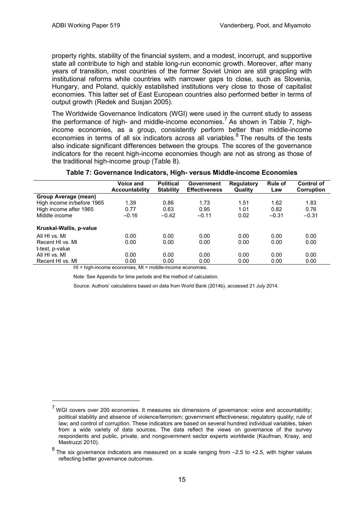$\overline{a}$ 

property rights, stability of the financial system, and a modest, incorrupt, and supportive state all contribute to high and stable long-run economic growth. Moreover, after many years of transition, most countries of the former Soviet Union are still grappling with institutional reforms while countries with narrower gaps to close, such as Slovenia, Hungary, and Poland, quickly established institutions very close to those of capitalist economies. This latter set of East European countries also performed better in terms of output growth (Redek and Susjan 2005).

The Worldwide Governance Indicators (WGI) were used in the current study to assess the performance of high- and middle-income economies.<sup>7</sup> As shown in Table 7, highincome economies, as a group, consistently perform better than middle-income economies in terms of all six indicators across all variables.<sup>8</sup> The results of the tests also indicate significant differences between the groups. The scores of the governance indicators for the recent high-income economies though are not as strong as those of the traditional high-income group (Table 8).

| 1.51<br>1.01 | 1.62<br>0.82 | 1.83<br>0.76 |
|--------------|--------------|--------------|
|              |              |              |
|              |              |              |
|              |              |              |
|              | $-0.31$      | $-0.31$      |
|              |              |              |
| 0.00         | 0.00         | 0.00         |
| 0.00         | 0.00         | 0.00         |
|              |              |              |
| 0.00         | 0.00         | 0.00         |
| 0.00         | 0.00         | 0.00         |
|              | 0.02         |              |

#### **Table 7: Governance Indicators, High- versus Middle-income Economies**

HI = high-income economies, MI = middle-income economies.

Note: See Appendix for time periods and the method of calculation.

Source: Authors' calculations based on data from World Bank (2014b), accessed 21 July 2014.

<sup>&</sup>lt;sup>7</sup> WGI covers over 200 economies. It measures six dimensions of governance: voice and accountability; political stability and absence of violence/terrorism; government effectiveness; regulatory quality; rule of law; and control of corruption. These indicators are based on several hundred individual variables, taken from a wide variety of data sources. The data reflect the views on governance of the survey respondents and public, private, and nongovernment sector experts worldwide (Kaufman, Kraay, and Mastruzzi 2010).

 $8$  The six governance indicators are measured on a scale ranging from  $-2.5$  to +2.5, with higher values reflecting better governance outcomes.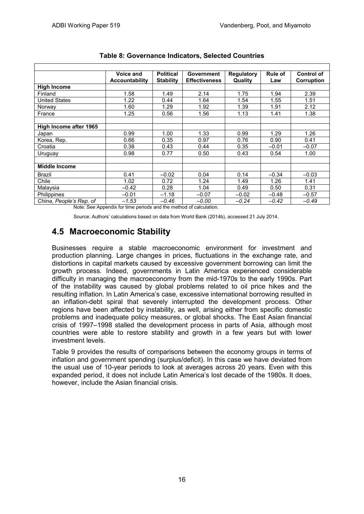|                         | Voice and<br><b>Accountability</b> | <b>Political</b><br><b>Stability</b> | Government<br><b>Effectiveness</b> | <b>Regulatory</b><br>Quality | <b>Rule of</b><br>Law | Control of<br>Corruption |
|-------------------------|------------------------------------|--------------------------------------|------------------------------------|------------------------------|-----------------------|--------------------------|
| <b>High Income</b>      |                                    |                                      |                                    |                              |                       |                          |
| Finland                 | 1.58                               | 1.49                                 | 2.14                               | 1.75                         | 1.94                  | 2.39                     |
| <b>United States</b>    | 1.22                               | 0.44                                 | 1.64                               | 1.54                         | 1.55                  | 1.51                     |
| Norway                  | 1.60                               | 1.29                                 | 1.92                               | 1.39                         | 1.91                  | 2.12                     |
| France                  | 1.25                               | 0.56                                 | 1.56                               | 1.13                         | 1.41                  | 1.38                     |
|                         |                                    |                                      |                                    |                              |                       |                          |
| High Income after 1965  |                                    |                                      |                                    |                              |                       |                          |
| Japan                   | 0.99                               | 1.00                                 | 1.33                               | 0.99                         | 1.29                  | 1.26                     |
| Korea, Rep.             | 0.66                               | 0.35                                 | 0.97                               | 0.76                         | 0.90                  | 0.41                     |
| Croatia                 | 0.38                               | 0.43                                 | 0.44                               | 0.35                         | $-0.01$               | $-0.07$                  |
| Uruguay                 | 0.98                               | 0.77                                 | 0.50                               | 0.43                         | 0.54                  | 1.00                     |
|                         |                                    |                                      |                                    |                              |                       |                          |
| <b>Middle Income</b>    |                                    |                                      |                                    |                              |                       |                          |
| <b>Brazil</b>           | 0.41                               | $-0.02$                              | 0.04                               | 0.14                         | $-0.34$               | $-0.03$                  |
| Chile                   | 1.02                               | 0.72                                 | 1.24                               | 1.49                         | 1.26                  | 1.41                     |
| Malaysia                | $-0.42$                            | 0.28                                 | 1.04                               | 0.49                         | 0.50                  | 0.31                     |
| <b>Philippines</b>      | $-0.01$                            | $-1.18$                              | $-0.07$                            | $-0.02$                      | $-0.48$               | $-0.57$                  |
| China, People's Rep. of | $-1.53$                            | $-0.46$                              | $-0.00$                            | $-0.24$                      | $-0.42$               | $-0.49$                  |

| Table 8: Governance Indicators, Selected Countries |  |  |  |
|----------------------------------------------------|--|--|--|
|----------------------------------------------------|--|--|--|

Note: See Appendix for time periods and the method of calculation.

Source: Authors' calculations based on data from World Bank (2014b), accessed 21 July 2014.

### **4.5 Macroeconomic Stability**

Businesses require a stable macroeconomic environment for investment and production planning. Large changes in prices, fluctuations in the exchange rate, and distortions in capital markets caused by excessive government borrowing can limit the growth process. Indeed, governments in Latin America experienced considerable difficulty in managing the macroeconomy from the mid-1970s to the early 1990s. Part of the instability was caused by global problems related to oil price hikes and the resulting inflation. In Latin America's case, excessive international borrowing resulted in an inflation-debt spiral that severely interrupted the development process. Other regions have been affected by instability, as well, arising either from specific domestic problems and inadequate policy measures, or global shocks. The East Asian financial crisis of 1997–1998 stalled the development process in parts of Asia, although most countries were able to restore stability and growth in a few years but with lower investment levels.

Table 9 provides the results of comparisons between the economy groups in terms of inflation and government spending (surplus/deficit). In this case we have deviated from the usual use of 10-year periods to look at averages across 20 years. Even with this expanded period, it does not include Latin America's lost decade of the 1980s. It does, however, include the Asian financial crisis.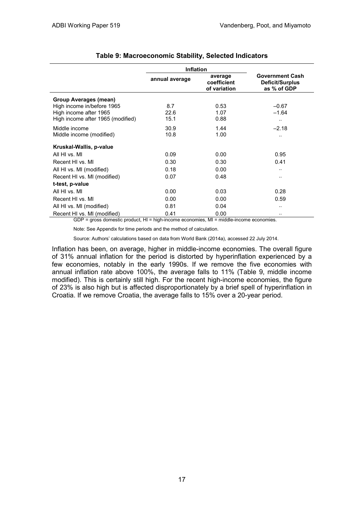|                                                               | <b>Inflation</b> |                                        |                                                          |
|---------------------------------------------------------------|------------------|----------------------------------------|----------------------------------------------------------|
|                                                               | annual average   | average<br>coefficient<br>of variation | <b>Government Cash</b><br>Deficit/Surplus<br>as % of GDP |
| Group Averages (mean)                                         |                  |                                        |                                                          |
| High income in/before 1965                                    | 8.7              | 0.53                                   | $-0.67$                                                  |
| High income after 1965                                        | 22.6             | 1.07                                   | $-1.64$                                                  |
| High income after 1965 (modified)                             | 15.1             | 0.88                                   |                                                          |
| Middle income                                                 | 30.9             | 1.44                                   | $-2.18$                                                  |
| Middle income (modified)                                      | 10.8             | 1.00                                   |                                                          |
| Kruskal-Wallis, p-value                                       |                  |                                        |                                                          |
| All HI vs. MI                                                 | 0.09             | 0.00                                   | 0.95                                                     |
| Recent HI vs. MI                                              | 0.30             | 0.30                                   | 0.41                                                     |
| All HI vs. MI (modified)                                      | 0.18             | 0.00                                   |                                                          |
| Recent HI vs. MI (modified)                                   | 0.07             | 0.48                                   |                                                          |
| t-test, p-value                                               |                  |                                        |                                                          |
| All HI vs. MI                                                 | 0.00             | 0.03                                   | 0.28                                                     |
| Recent HI vs. MI                                              | 0.00             | 0.00                                   | 0.59                                                     |
| All HI vs. MI (modified)                                      | 0.81             | 0.04                                   |                                                          |
| Recent HI vs. MI (modified)<br>$\sim$ $\sim$ $\sim$<br>$\sim$ | 0.41<br>.        | 0.00<br><b>B A B</b>                   |                                                          |

#### **Table 9: Macroeconomic Stability, Selected Indicators**

GDP = gross domestic product, HI = high-income economies, MI = middle-income economies.

Note: See Appendix for time periods and the method of calculation.

Source: Authors' calculations based on data from World Bank (2014a), accessed 22 July 2014.

Inflation has been, on average, higher in middle-income economies. The overall figure of 31% annual inflation for the period is distorted by hyperinflation experienced by a few economies, notably in the early 1990s. If we remove the five economies with annual inflation rate above 100%, the average falls to 11% (Table 9, middle income modified). This is certainly still high. For the recent high-income economies, the figure of 23% is also high but is affected disproportionately by a brief spell of hyperinflation in Croatia. If we remove Croatia, the average falls to 15% over a 20-year period.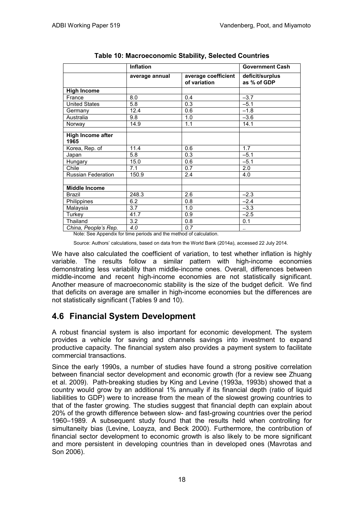|                           | <b>Inflation</b> | <b>Government Cash</b>              |                                |
|---------------------------|------------------|-------------------------------------|--------------------------------|
|                           | average annual   | average coefficient<br>of variation | deficit/surplus<br>as % of GDP |
| <b>High Income</b>        |                  |                                     |                                |
| France                    | 8.0              | 0.4                                 | $-3.7$                         |
| <b>United States</b>      | 5.8              | 0.3                                 | $-5.1$                         |
| Germany                   | 12.4             | 0.6                                 | $-1.8$                         |
| Australia                 | 9.8              | 1.0                                 | $-3.6$                         |
| Norway                    | 14.9             | 1.1                                 | 14.1                           |
|                           |                  |                                     |                                |
| High Income after<br>1965 |                  |                                     |                                |
| Korea, Rep. of            | 11.4             | 0.6                                 | 1.7                            |
| Japan                     | 5.8              | 0.3                                 | $-5.1$                         |
| Hungary                   | 15.0             | 0.6                                 | $-5.1$                         |
| Chile                     | 7.1              | 0.7                                 | 2.0                            |
| Russian Federation        | 150.9            | 2.4                                 | 4.0                            |
| <b>Middle Income</b>      |                  |                                     |                                |
| <b>Brazil</b>             | 248.3            | 2.6                                 | $-2.3$                         |
| Philippines               | 6.2              | 0.8                                 | $-2.4$                         |
| Malaysia                  | 3.7              | 1.0                                 | $-3.3$                         |
| Turkey                    | 41.7             | 0.9                                 | $-2.5$                         |
| Thailand                  | 3.2              | 0.8                                 | 0.1                            |
| China, People's Rep.      | 4.0              | $\overline{0.7}$                    | $\sim$ $\sim$                  |

**Table 10: Macroeconomic Stability, Selected Countries**

Note: See Appendix for time periods and the method of calculation.

Source: Authors' calculations, based on data from the World Bank (2014a), accessed 22 July 2014.

We have also calculated the coefficient of variation, to test whether inflation is highly variable. The results follow a similar pattern with high-income economies demonstrating less variability than middle-income ones. Overall, differences between middle-income and recent high-income economies are not statistically significant. Another measure of macroeconomic stability is the size of the budget deficit. We find that deficits on average are smaller in high-income economies but the differences are not statistically significant (Tables 9 and 10).

### **4.6 Financial System Development**

A robust financial system is also important for economic development. The system provides a vehicle for saving and channels savings into investment to expand productive capacity. The financial system also provides a payment system to facilitate commercial transactions.

Since the early 1990s, a number of studies have found a strong positive correlation between financial sector development and economic growth (for a review see Zhuang et al. 2009). Path-breaking studies by King and Levine (1993a, 1993b) showed that a country would grow by an additional 1% annually if its financial depth (ratio of liquid liabilities to GDP) were to increase from the mean of the slowest growing countries to that of the faster growing. The studies suggest that financial depth can explain about 20% of the growth difference between slow- and fast-growing countries over the period 1960–1989. A subsequent study found that the results held when controlling for simultaneity bias (Levine, Loayza, and Beck 2000). Furthermore, the contribution of financial sector development to economic growth is also likely to be more significant and more persistent in developing countries than in developed ones (Mavrotas and Son 2006).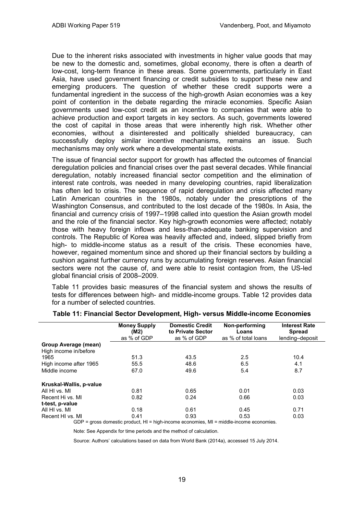Due to the inherent risks associated with investments in higher value goods that may be new to the domestic and, sometimes, global economy, there is often a dearth of low-cost, long-term finance in these areas. Some governments, particularly in East Asia, have used government financing or credit subsidies to support these new and emerging producers. The question of whether these credit supports were a fundamental ingredient in the success of the high-growth Asian economies was a key point of contention in the debate regarding the miracle economies. Specific Asian governments used low-cost credit as an incentive to companies that were able to achieve production and export targets in key sectors. As such, governments lowered the cost of capital in those areas that were inherently high risk. Whether other economies, without a disinterested and politically shielded bureaucracy, can successfully deploy similar incentive mechanisms, remains an issue. Such mechanisms may only work where a developmental state exists.

The issue of financial sector support for growth has affected the outcomes of financial deregulation policies and financial crises over the past several decades. While financial deregulation, notably increased financial sector competition and the elimination of interest rate controls, was needed in many developing countries, rapid liberalization has often led to crisis. The sequence of rapid deregulation and crisis affected many Latin American countries in the 1980s, notably under the prescriptions of the Washington Consensus, and contributed to the lost decade of the 1980s. In Asia, the financial and currency crisis of 1997–1998 called into question the Asian growth model and the role of the financial sector. Key high-growth economies were affected; notably those with heavy foreign inflows and less-than-adequate banking supervision and controls. The Republic of Korea was heavily affected and, indeed, slipped briefly from high- to middle-income status as a result of the crisis. These economies have, however, regained momentum since and shored up their financial sectors by building a cushion against further currency runs by accumulating foreign reserves. Asian financial sectors were not the cause of, and were able to resist contagion from, the US-led global financial crisis of 2008–2009.

Table 11 provides basic measures of the financial system and shows the results of tests for differences between high- and middle-income groups. Table 12 provides data for a number of selected countries.

|                                               | <b>Money Supply</b><br>(M2)<br>as % of GDP | <b>Domestic Credit</b><br>to Private Sector<br>as % of GDP | Non-performing<br>Loans<br>as % of total loans                                                           | <b>Interest Rate</b><br><b>Spread</b><br>lending-deposit |
|-----------------------------------------------|--------------------------------------------|------------------------------------------------------------|----------------------------------------------------------------------------------------------------------|----------------------------------------------------------|
| Group Average (mean)<br>High income in/before |                                            |                                                            |                                                                                                          |                                                          |
| 1965                                          | 51.3                                       | 43.5                                                       | $2.5\,$                                                                                                  | 10.4                                                     |
| High income after 1965                        | 55.5                                       | 48.6                                                       | 6.5                                                                                                      | 4.1                                                      |
| Middle income                                 | 67.0                                       | 49.6                                                       | 5.4                                                                                                      | 8.7                                                      |
| Kruskal-Wallis, p-value                       |                                            |                                                            |                                                                                                          |                                                          |
| All HI vs. MI                                 | 0.81                                       | 0.65                                                       | 0.01                                                                                                     | 0.03                                                     |
| Recent Hi vs. MI                              | 0.82                                       | 0.24                                                       | 0.66                                                                                                     | 0.03                                                     |
| t-test, p-value                               |                                            |                                                            |                                                                                                          |                                                          |
| All HI vs. MI                                 | 0.18                                       | 0.61                                                       | 0.45                                                                                                     | 0.71                                                     |
| Recent HI vs. MI                              | 0.41                                       | 0.93                                                       | 0.53<br>$CDD =$ and a demonstrative modular $10 - h/m$ income according $M = m/m$ delay income according | 0.03                                                     |

#### **Table 11: Financial Sector Development, High- versus Middle-income Economies**

GDP = gross domestic product, HI = high-income economies, MI = middle-income economies.

Note: See Appendix for time periods and the method of calculation.

Source: Authors' calculations based on data from World Bank (2014a), accessed 15 July 2014.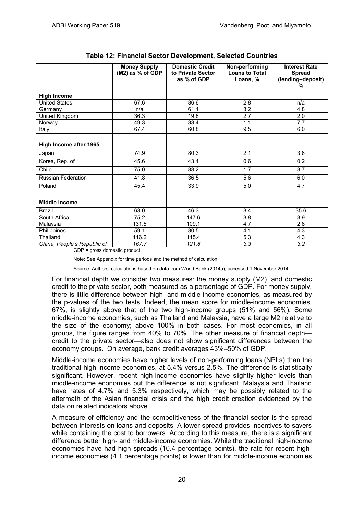|                             | <b>Money Supply</b><br>$(M2)$ as % of GDP | <b>Domestic Credit</b><br>to Private Sector<br>as % of GDP | Non-performing<br><b>Loans to Total</b><br>Loans, % | <b>Interest Rate</b><br><b>Spread</b><br>(lending-deposit)<br>% |
|-----------------------------|-------------------------------------------|------------------------------------------------------------|-----------------------------------------------------|-----------------------------------------------------------------|
| <b>High Income</b>          |                                           |                                                            |                                                     |                                                                 |
| <b>United States</b>        | 67.6                                      | 86.6                                                       | 2.8                                                 | n/a                                                             |
| Germany                     | n/a                                       | 61.4                                                       | 3.2                                                 | 4.8                                                             |
| United Kingdom              | 36.3                                      | 19.8                                                       | 2.7                                                 | 2.0                                                             |
| Norway                      | 49.3                                      | 33.4                                                       | 1.1                                                 | 7.7                                                             |
| Italy                       | 67.4                                      | 60.8                                                       | 9.5                                                 | 6.0                                                             |
|                             |                                           |                                                            |                                                     |                                                                 |
| High Income after 1965      |                                           |                                                            |                                                     |                                                                 |
| Japan                       | 74.9                                      | 80.3                                                       | 2.1                                                 | 3.6                                                             |
| Korea, Rep. of              | 45.6                                      | 43.4                                                       | 0.6                                                 | 0.2                                                             |
| Chile                       | 75.0                                      | 88.2                                                       | 1.7                                                 | 3.7                                                             |
| Russian Federation          | 41.8                                      | 36.5                                                       | 5.6                                                 | 6.0                                                             |
| Poland                      | 45.4                                      | 33.9                                                       | 5.0                                                 | 4.7                                                             |
|                             |                                           |                                                            |                                                     |                                                                 |
| <b>Middle Income</b>        |                                           |                                                            |                                                     |                                                                 |
| <b>Brazil</b>               | 63.0                                      | 46.3                                                       | 3.4                                                 | 35.6                                                            |
| South Africa                | 75.2                                      | 147.6                                                      | 3.8                                                 | 3.9                                                             |
| Malaysia                    | 131.5                                     | 109.1                                                      | 4.7                                                 | 2.8                                                             |
| Philippines                 | 59.1                                      | 30.5                                                       | 4.1                                                 | 4.3                                                             |
| Thailand                    | 116.2                                     | 115.4                                                      | 5.3                                                 | 4.3                                                             |
| China, People's Republic of | 167.7                                     | 121.8                                                      | 3.3                                                 | 3.2                                                             |

#### **Table 12: Financial Sector Development, Selected Countries**

GDP = gross domestic product.

Note: See Appendix for time periods and the method of calculation.

Source: Authors' calculations based on data from World Bank (2014a), accessed 1 November 2014.

For financial depth we consider two measures: the money supply (M2), and domestic credit to the private sector, both measured as a percentage of GDP. For money supply, there is little difference between high- and middle-income economies, as measured by the p-values of the two tests. Indeed, the mean score for middle-income economies, 67%, is slightly above that of the two high-income groups (51% and 56%). Some middle-income economies, such as Thailand and Malaysia, have a large M2 relative to the size of the economy; above 100% in both cases. For most economies, in all groups, the figure ranges from 40% to 70%. The other measure of financial depth credit to the private sector—also does not show significant differences between the economy groups. On average, bank credit averages 43%–50% of GDP.

Middle-income economies have higher levels of non-performing loans (NPLs) than the traditional high-income economies, at 5.4% versus 2.5%. The difference is statistically significant. However, recent high-income economies have slightly higher levels than middle-income economies but the difference is not significant. Malaysia and Thailand have rates of 4.7% and 5.3% respectively, which may be possibly related to the aftermath of the Asian financial crisis and the high credit creation evidenced by the data on related indicators above.

A measure of efficiency and the competitiveness of the financial sector is the spread between interests on loans and deposits. A lower spread provides incentives to savers while containing the cost to borrowers. According to this measure, there is a significant difference better high- and middle-income economies. While the traditional high-income economies have had high spreads (10.4 percentage points), the rate for recent highincome economies (4.1 percentage points) is lower than for middle-income economies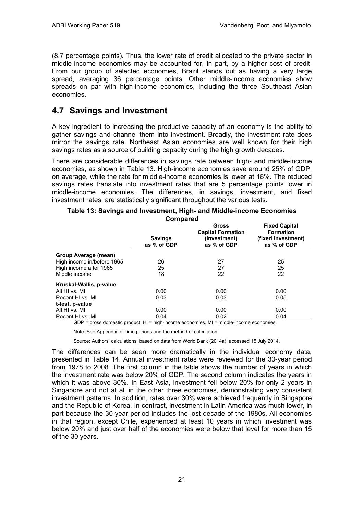(8.7 percentage points). Thus, the lower rate of credit allocated to the private sector in middle-income economies may be accounted for, in part, by a higher cost of credit. From our group of selected economies, Brazil stands out as having a very large spread, averaging 36 percentage points. Other middle-income economies show spreads on par with high-income economies, including the three Southeast Asian economies.

### **4.7 Savings and Investment**

A key ingredient to increasing the productive capacity of an economy is the ability to gather savings and channel them into investment. Broadly, the investment rate does mirror the savings rate. Northeast Asian economies are well known for their high savings rates as a source of building capacity during the high growth decades.

There are considerable differences in savings rate between high- and middle-income economies, as shown in Table 13. High-income economies save around 25% of GDP, on average, while the rate for middle-income economies is lower at 18%. The reduced savings rates translate into investment rates that are 5 percentage points lower in middle-income economies. The differences, in savings, investment, and fixed investment rates, are statistically significant throughout the various tests.

| OUIII pai <del>c</del> u   |                               |                                                                  |                                                                               |  |  |
|----------------------------|-------------------------------|------------------------------------------------------------------|-------------------------------------------------------------------------------|--|--|
|                            | <b>Savings</b><br>as % of GDP | Gross<br><b>Capital Formation</b><br>(investment)<br>as % of GDP | <b>Fixed Capital</b><br><b>Formation</b><br>(fixed investment)<br>as % of GDP |  |  |
| Group Average (mean)       |                               |                                                                  |                                                                               |  |  |
| High income in/before 1965 | 26                            | 27                                                               | 25                                                                            |  |  |
| High income after 1965     | 25                            | 27                                                               | 25                                                                            |  |  |
| Middle income              | 18                            | 22                                                               | 22                                                                            |  |  |
| Kruskal-Wallis, p-value    |                               |                                                                  |                                                                               |  |  |
| All HI vs. MI              | 0.00                          | 0.00                                                             | 0.00                                                                          |  |  |
| Recent HI vs. MI           | 0.03                          | 0.03                                                             | 0.05                                                                          |  |  |
| t-test, p-value            |                               |                                                                  |                                                                               |  |  |
| All HI vs. MI              | 0.00                          | 0.00                                                             | 0.00                                                                          |  |  |
| Recent HI vs. MI           | 0.04                          | 0.02                                                             | 0.04                                                                          |  |  |

#### **Table 13: Savings and Investment, High- and Middle-income Economies Compared**

GDP = gross domestic product, HI = high-income economies, MI = middle-income economies.

Note: See Appendix for time periods and the method of calculation.

Source: Authors' calculations, based on data from World Bank (2014a), accessed 15 July 2014.

The differences can be seen more dramatically in the individual economy data, presented in Table 14. Annual investment rates were reviewed for the 30-year period from 1978 to 2008. The first column in the table shows the number of years in which the investment rate was below 20% of GDP. The second column indicates the years in which it was above 30%. In East Asia, investment fell below 20% for only 2 years in Singapore and not at all in the other three economies, demonstrating very consistent investment patterns. In addition, rates over 30% were achieved frequently in Singapore and the Republic of Korea. In contrast, investment in Latin America was much lower, in part because the 30-year period includes the lost decade of the 1980s. All economies in that region, except Chile, experienced at least 10 years in which investment was below 20% and just over half of the economies were below that level for more than 15 of the 30 years.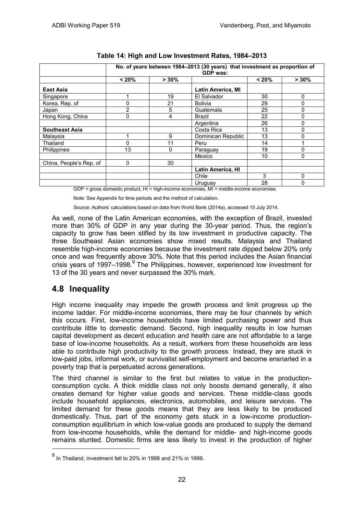|                         | No. of years between 1984-2013 (30 years) that investment as proportion of<br><b>GDP</b> was: |          |                          |       |          |
|-------------------------|-----------------------------------------------------------------------------------------------|----------|--------------------------|-------|----------|
|                         | < 20%                                                                                         | $> 30\%$ |                          | < 20% | $> 30\%$ |
| East Asia               |                                                                                               |          | <b>Latin America, MI</b> |       |          |
| Singapore               |                                                                                               | 19       | El Salvador              | 30    | 0        |
| Korea, Rep. of          | 0                                                                                             | 21       | <b>Bolivia</b>           | 29    | 0        |
| Japan                   | $\overline{2}$                                                                                | 5        | Guatemala                | 25    | 0        |
| Hong Kong, China        | 0                                                                                             | 4        | Brazil                   | 22    | 0        |
|                         |                                                                                               |          | Argentina                | 26    | 0        |
| <b>Southeast Asia</b>   |                                                                                               |          | Costa Rica               | 13    | 0        |
| Malaysia                |                                                                                               | 9        | Dominican Republic       | 13    | ი        |
| Thailand                | 0                                                                                             | 11       | Peru                     | 14    |          |
| Philippines             | 13                                                                                            | 0        | Paraguay                 | 19    |          |
|                         |                                                                                               |          | Mexico                   | 10    | 0        |
| China, People's Rep. of | 0                                                                                             | 30       |                          |       |          |
|                         |                                                                                               |          | <b>Latin America, HI</b> |       |          |
|                         |                                                                                               |          | Chile                    | 3     | 0        |
|                         |                                                                                               |          | Uruguay                  | 28    | 0        |

#### **Table 14: High and Low Investment Rates, 1984–2013**

GDP = gross domestic product, HI = high-income economies, MI = middle-income economies.

Note: See Appendix for time periods and the method of calculation.

Source: Authors' calculations based on data from World Bank (2014a), accessed 15 July 2014.

As well, none of the Latin American economies, with the exception of Brazil, invested more than 30% of GDP in any year during the 30-year period. Thus, the region's capacity to grow has been stifled by its low investment in productive capacity. The three Southeast Asian economies show mixed results. Malaysia and Thailand resemble high-income economies because the investment rate dipped below 20% only once and was frequently above 30%. Note that this period includes the Asian financial crisis years of  $1997-1998$ .<sup>9</sup> The Philippines, however, experienced low investment for 13 of the 30 years and never surpassed the 30% mark.

### **4.8 Inequality**

 $\overline{a}$ 

High income inequality may impede the growth process and limit progress up the income ladder. For middle-income economies, there may be four channels by which this occurs. First, low-income households have limited purchasing power and thus contribute little to domestic demand. Second, high inequality results in low human capital development as decent education and health care are not affordable to a large base of low-income households. As a result, workers from these households are less able to contribute high productivity to the growth process. Instead, they are stuck in low-paid jobs, informal work, or survivalist self-employment and become ensnarled in a poverty trap that is perpetuated across generations.

The third channel is similar to the first but relates to value in the productionconsumption cycle. A thick middle class not only boosts demand generally, it also creates demand for higher value goods and services. These middle-class goods include household appliances, electronics, automobiles, and leisure services. The limited demand for these goods means that they are less likely to be produced domestically. Thus, part of the economy gets stuck in a low-income productionconsumption equilibrium in which low-value goods are produced to supply the demand from low-income households, while the demand for middle- and high-income goods remains stunted. Domestic firms are less likely to invest in the production of higher

 $^{9}$  In Thailand, investment fell to 20% in 1998 and 21% in 1999.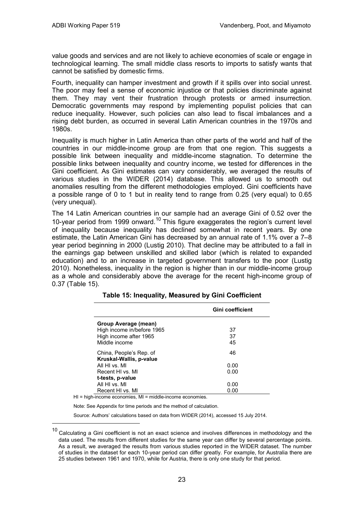value goods and services and are not likely to achieve economies of scale or engage in technological learning. The small middle class resorts to imports to satisfy wants that cannot be satisfied by domestic firms.

Fourth, inequality can hamper investment and growth if it spills over into social unrest. The poor may feel a sense of economic injustice or that policies discriminate against them. They may vent their frustration through protests or armed insurrection. Democratic governments may respond by implementing populist policies that can reduce inequality. However, such policies can also lead to fiscal imbalances and a rising debt burden, as occurred in several Latin American countries in the 1970s and 1980s.

Inequality is much higher in Latin America than other parts of the world and half of the countries in our middle-income group are from that one region. This suggests a possible link between inequality and middle-income stagnation. To determine the possible links between inequality and country income, we tested for differences in the Gini coefficient. As Gini estimates can vary considerably, we averaged the results of various studies in the WIDER (2014) database. This allowed us to smooth out anomalies resulting from the different methodologies employed. Gini coefficients have a possible range of 0 to 1 but in reality tend to range from 0.25 (very equal) to 0.65 (very unequal).

The 14 Latin American countries in our sample had an average Gini of 0.52 over the 10-year period from 1999 onward.<sup>10</sup> This figure exaggerates the region's current level of inequality because inequality has declined somewhat in recent years. By one estimate, the Latin American Gini has decreased by an annual rate of 1.1% over a 7–8 year period beginning in 2000 (Lustig 2010). That decline may be attributed to a fall in the earnings gap between unskilled and skilled labor (which is related to expanded education) and to an increase in targeted government transfers to the poor (Lustig 2010). Nonetheless, inequality in the region is higher than in our middle-income group as a whole and considerably above the average for the recent high-income group of 0.37 (Table 15).

|                                                                                               | Gini coefficient |
|-----------------------------------------------------------------------------------------------|------------------|
| Group Average (mean)<br>High income in/before 1965<br>High income after 1965<br>Middle income | 37<br>37<br>45   |
| China, People's Rep. of<br>Kruskal-Wallis, p-value                                            | 46               |
| All HI vs. MI                                                                                 | 0.00             |
| Recent HI vs. MI                                                                              | 0.00             |
| t-tests, p-value                                                                              |                  |
| All HI vs. MI                                                                                 | 0.00             |
| Recent HI vs. MI                                                                              | 0.00             |

| Table 15: Inequality, Measured by Gini Coefficient |  |  |
|----------------------------------------------------|--|--|
|----------------------------------------------------|--|--|

HI = high-income economies, MI = middle-income economies.

 $\overline{a}$ 

Note: See Appendix for time periods and the method of calculation.

Source: Authors' calculations based on data from WIDER (2014), accessed 15 July 2014.

 $10$  Calculating a Gini coefficient is not an exact science and involves differences in methodology and the data used. The results from different studies for the same year can differ by several percentage points. As a result, we averaged the results from various studies reported in the WIDER dataset. The number of studies in the dataset for each 10-year period can differ greatly. For example, for Australia there are 25 studies between 1961 and 1970, while for Austria, there is only one study for that period.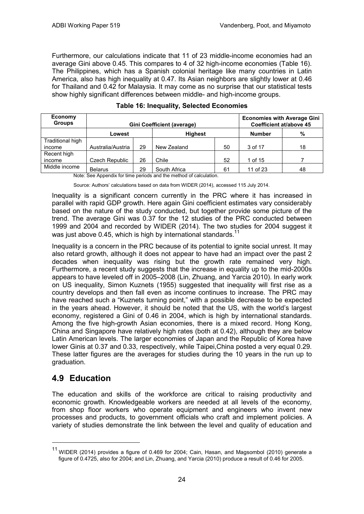Furthermore, our calculations indicate that 11 of 23 middle-income economies had an average Gini above 0.45. This compares to 4 of 32 high-income economies (Table 16). The Philippines, which has a Spanish colonial heritage like many countries in Latin America, also has high inequality at 0.47. Its Asian neighbors are slightly lower at 0.46 for Thailand and 0.42 for Malaysia. It may come as no surprise that our statistical tests show highly significant differences between middle- and high-income groups.

| Economy<br><b>Groups</b> | <b>Gini Coefficient (average)</b> |                |              |    | <b>Economies with Average Gini</b><br>Coefficient at/above 45 |    |
|--------------------------|-----------------------------------|----------------|--------------|----|---------------------------------------------------------------|----|
|                          | Lowest                            | <b>Highest</b> |              |    | <b>Number</b>                                                 | %  |
| Traditional high         |                                   |                |              |    |                                                               |    |
| income                   | Australia/Austria                 | 29             | New Zealand  | 50 | 3 of 17                                                       | 18 |
| Recent high              |                                   |                |              |    |                                                               |    |
| income                   | Czech Republic                    | 26             | Chile        | 52 | 1 of 15                                                       |    |
| Middle income            | <b>Belarus</b>                    | 29             | South Africa | 61 | 11 of 23                                                      | 48 |

Note: See Appendix for time periods and the method of calculation.

Source: Authors' calculations based on data from WIDER (2014), accessed 115 July 2014.

Inequality is a significant concern currently in the PRC where it has increased in parallel with rapid GDP growth. Here again Gini coefficient estimates vary considerably based on the nature of the study conducted, but together provide some picture of the trend. The average Gini was 0.37 for the 12 studies of the PRC conducted between 1999 and 2004 and recorded by WIDER (2014). The two studies for 2004 suggest it was just above 0.45, which is high by international standards.<sup>11</sup>

Inequality is a concern in the PRC because of its potential to ignite social unrest. It may also retard growth, although it does not appear to have had an impact over the past 2 decades when inequality was rising but the growth rate remained very high. Furthermore, a recent study suggests that the increase in equality up to the mid-2000s appears to have leveled off in 2005–2008 (Lin, Zhuang, and Yarcia 2010). In early work on US inequality, Simon Kuznets (1955) suggested that inequality will first rise as a country develops and then fall even as income continues to increase. The PRC may have reached such a "Kuznets turning point," with a possible decrease to be expected in the years ahead. However, it should be noted that the US, with the world's largest economy, registered a Gini of 0.46 in 2004, which is high by international standards. Among the five high-growth Asian economies, there is a mixed record. Hong Kong, China and Singapore have relatively high rates (both at 0.42), although they are below Latin American levels. The larger economies of Japan and the Republic of Korea have lower Ginis at 0.37 and 0.33, respectively, while Taipei,China posted a very equal 0.29. These latter figures are the averages for studies during the 10 years in the run up to graduation.

### **4.9 Education**

-

The education and skills of the workforce are critical to raising productivity and economic growth. Knowledgeable workers are needed at all levels of the economy, from shop floor workers who operate equipment and engineers who invent new processes and products, to government officials who craft and implement policies. A variety of studies demonstrate the link between the level and quality of education and

 $11$  WIDER (2014) provides a figure of 0.469 for 2004; Cain, Hasan, and Magsombol (2010) generate a figure of 0.4725, also for 2004; and Lin, Zhuang, and Yarcia (2010) produce a result of 0.46 for 2005.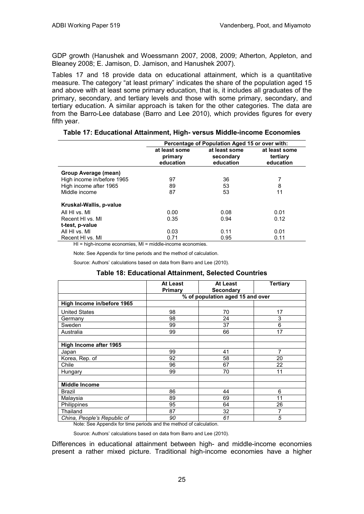GDP growth (Hanushek and Woessmann 2007, 2008, 2009; Atherton, Appleton, and Bleaney 2008; E. Jamison, D. Jamison, and Hanushek 2007).

Tables 17 and 18 provide data on educational attainment, which is a quantitative measure. The category "at least primary" indicates the share of the population aged 15 and above with at least some primary education, that is, it includes all graduates of the primary, secondary, and tertiary levels and those with some primary, secondary, and tertiary education. A similar approach is taken for the other categories. The data are from the Barro-Lee database (Barro and Lee 2010), which provides figures for every fifth year.

|                                     | Percentage of Population Aged 15 or over with: |                                         |                                        |  |
|-------------------------------------|------------------------------------------------|-----------------------------------------|----------------------------------------|--|
|                                     | at least some<br>primary<br>education          | at least some<br>secondary<br>education | at least some<br>tertiary<br>education |  |
| Group Average (mean)                |                                                |                                         |                                        |  |
| High income in/before 1965          | 97                                             | 36                                      |                                        |  |
| High income after 1965              | 89                                             | 53                                      | 8                                      |  |
| Middle income                       | 87                                             | 53                                      | 11                                     |  |
| Kruskal-Wallis, p-value             |                                                |                                         |                                        |  |
| All HI vs. MI                       | 0.00                                           | 0.08                                    | 0.01                                   |  |
| Recent HI vs. MI                    | 0.35                                           | 0.94                                    | 0.12                                   |  |
| t-test, p-value                     |                                                |                                         |                                        |  |
| All HI vs. MI                       | 0.03                                           | 0.11                                    | 0.01                                   |  |
| Recent HI vs. MI                    | 0.71                                           | 0.95                                    | 0.11                                   |  |
| that the fact that the track of the | والمنازل والمستقرين والترافية والمستنقرة       |                                         |                                        |  |

| Table 17: Educational Attainment, High- versus Middle-income Economies |  |  |
|------------------------------------------------------------------------|--|--|
|------------------------------------------------------------------------|--|--|

HI = high-income economies, MI = middle-income economies.

Note: See Appendix for time periods and the method of calculation.

Source: Authors' calculations based on data from Barro and Lee (2010).

#### **Table 18: Educational Attainment, Selected Countries**

|                             | At Least | At Least                         | <b>Tertiary</b> |
|-----------------------------|----------|----------------------------------|-----------------|
|                             | Primary  | <b>Secondary</b>                 |                 |
|                             |          | % of population aged 15 and over |                 |
| High Income in/before 1965  |          |                                  |                 |
| <b>United States</b>        | 98       | 70                               | 17              |
| Germany                     | 98       | 24                               | 3               |
| Sweden                      | 99       | 37                               | 6               |
| Australia                   | 99       | 66                               | 17              |
|                             |          |                                  |                 |
| High Income after 1965      |          |                                  |                 |
| Japan                       | 99       | 41                               | 7               |
| Korea, Rep. of              | 92       | 58                               | 20              |
| Chile                       | 96       | 67                               | 22              |
| <b>Hungary</b>              | 99       | 70                               | 11              |
|                             |          |                                  |                 |
| <b>Middle Income</b>        |          |                                  |                 |
| <b>Brazil</b>               | 86       | 44                               | 6               |
| Malaysia                    | 89       | 69                               | 11              |
| Philippines                 | 95       | 64                               | 26              |
| Thailand                    | 87       | 32                               | 7               |
| China, People's Republic of | 90       | 61                               | 5               |

Note: See Appendix for time periods and the method of calculation.

Source: Authors' calculations based on data from Barro and Lee (2010).

Differences in educational attainment between high- and middle-income economies present a rather mixed picture. Traditional high-income economies have a higher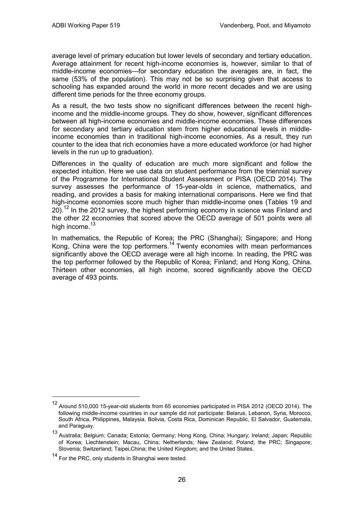average level of primary education but lower levels of secondary and tertiary education. Average attainment for recent high-income economies is, however, similar to that of middle-income economies—for secondary education the averages are, in fact, the same (53% of the population). This may not be so surprising given that access to schooling has expanded around the world in more recent decades and we are using different time periods for the three economy groups.

As a result, the two tests show no significant differences between the recent highincome and the middle-income groups. They do show, however, significant differences between all high-income economies and middle-income economies. These differences for secondary and tertiary education stem from higher educational levels in middleincome economies than in traditional high-income economies. As a result, they run counter to the idea that rich economies have a more educated workforce (or had higher levels in the run up to graduation).

Differences in the quality of education are much more significant and follow the expected intuition. Here we use data on student performance from the triennial survey of the Programme for International Student Assessment or PISA (OECD 2014). The survey assesses the performance of 15-year-olds in science, mathematics, and reading, and provides a basis for making international comparisons. Here we find that high-income economies score much higher than middle-income ones (Tables 19 and 20).<sup>12</sup> In the 2012 survey, the highest performing economy in science was Finland and the other 22 economies that scored above the OECD average of 501 points were all high income.<sup>13</sup>

In mathematics, the Republic of Korea; the PRC (Shanghai); Singapore; and Hong Kong, China were the top performers.<sup>14</sup> Twenty economies with mean performances significantly above the OECD average were all high income. In reading, the PRC was the top performer followed by the Republic of Korea; Finland; and Hong Kong, China. Thirteen other economies, all high income, scored significantly above the OECD average of 493 points.

-

<sup>12</sup> Around 510,000 15-year-old students from <sup>65</sup> economies participated in PISA 2012 (OECD 2014). The following middle-income countries in our sample did not participate: Belarus, Lebanon, Syria, Morocco, South Africa, Philippines, Malaysia, Bolivia, Costa Rica, Dominican Republic, El Salvador, Guatemala, and Paraguay.

<sup>13</sup> Australia; Belgium; Canada; Estonia; Germany; Hong Kong, China; Hungary; Ireland; Japan; Republic of Korea; Liechtenstein; Macau, China; Netherlands; New Zealand; Poland; the PRC; Singapore; Slovenia; Switzerland; Taipei,China; the United Kingdom; and the United States.

<sup>14</sup> For the PRC, only students in Shanghai were tested.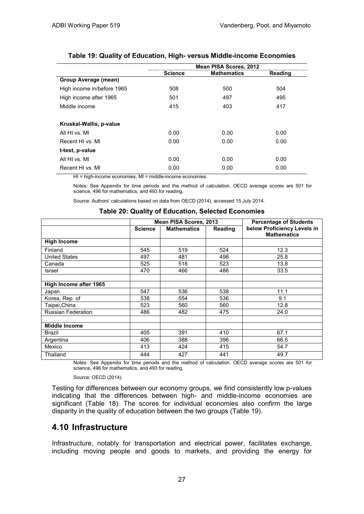|                            |         | Mean PISA Scores, 2012 |         |
|----------------------------|---------|------------------------|---------|
|                            | Science | <b>Mathematics</b>     | Reading |
| Group Average (mean)       |         |                        |         |
| High income in/before 1965 | 508     | 500                    | 504     |
| High income after 1965     | 501     | 497                    | 495     |
| Middle income              | 415     | 403                    | 417     |
|                            |         |                        |         |
| Kruskal-Wallis, p-value    |         |                        |         |
| All HI vs. MI              | 0.00    | 0.00                   | 0.00    |
| Recent HI vs. MI           | 0.00    | 0.00                   | 0.00    |
| t-test, p-value            |         |                        |         |
| All HI vs. MI              | 0.00    | 0.00                   | 0.00    |
| Recent HI vs. MI           | 0.00    | 0.00                   | 0.00    |

#### **Table 19: Quality of Education, High- versus Middle-income Economies**

HI = high-income economies, MI = middle-income economies.

Notes: See Appendix for time periods and the method of calculation. OECD average scores are 501 for science, 496 for mathematics, and 493 for reading.

Source: Authors' calculations based on data from OECD (2014), accessed 15 July 2014.

|                           |                | Mean PISA Scores, 2013 | <b>Percentage of Students</b> |                                                   |  |
|---------------------------|----------------|------------------------|-------------------------------|---------------------------------------------------|--|
|                           | <b>Science</b> | <b>Mathematics</b>     | <b>Reading</b>                | below Proficiency Levels in<br><b>Mathematics</b> |  |
| <b>High Income</b>        |                |                        |                               |                                                   |  |
| Finland                   | 545            | 519                    | 524                           | 12.3                                              |  |
| <b>United States</b>      | 497            | 481                    | 498                           | 25.8                                              |  |
| Canada                    | 525            | 518                    | 523                           | 13.8                                              |  |
| Israel                    | 470            | 466                    | 486                           | 33.5                                              |  |
|                           |                |                        |                               |                                                   |  |
| High Income after 1965    |                |                        |                               |                                                   |  |
| Japan                     | 547            | 536                    | 538                           | 11.1                                              |  |
| Korea, Rep. of            | 538            | 554                    | 536                           | 9.1                                               |  |
| Taipei, China             | 523            | 560                    | 560                           | 12.8                                              |  |
| <b>Russian Federation</b> | 486            | 482                    | 475                           | 24.0                                              |  |
|                           |                |                        |                               |                                                   |  |
| <b>Middle Income</b>      |                |                        |                               |                                                   |  |
| <b>Brazil</b>             | 405            | 391                    | 410                           | 67.1                                              |  |
| Argentina                 | 406            | 388                    | 396                           | 66.5                                              |  |
| Mexico                    | 413            | 424                    | 415                           | 54.7                                              |  |
| Thailand                  | 444            | 427                    | 441                           | 49.7                                              |  |

#### **Table 20: Quality of Education, Selected Economies**

Notes: See Appendix for time periods and the method of calculation. OECD average scores are 501 for science, 496 for mathematics, and 493 for reading.

Source: OECD (2014).

Testing for differences between our economy groups, we find consistently low p-values indicating that the differences between high- and middle-income economies are significant (Table 18). The scores for individual economies also confirm the large disparity in the quality of education between the two groups (Table 19).

### **4.10 Infrastructure**

Infrastructure, notably for transportation and electrical power, facilitates exchange, including moving people and goods to markets, and providing the energy for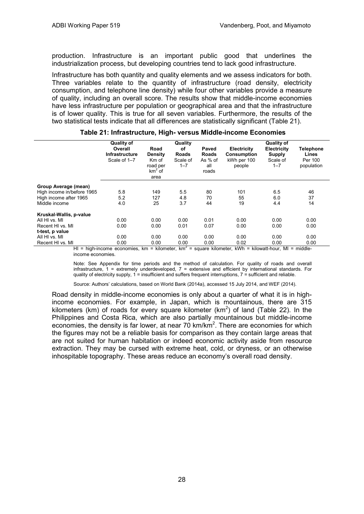production. Infrastructure is an important public good that underlines the industrialization process, but developing countries tend to lack good infrastructure.

Infrastructure has both quantity and quality elements and we assess indicators for both. Three variables relate to the quantity of infrastructure (road density, electricity consumption, and telephone line density) while four other variables provide a measure of quality, including an overall score. The results show that middle-income economies have less infrastructure per population or geographical area and that the infrastructure is of lower quality. This is true for all seven variables. Furthermore, the results of the two statistical tests indicate that all differences are statistically significant (Table 21).

|                            | <b>Quality of</b><br>Overall<br><b>Infrastructure</b><br>Scale of 1-7 | Road<br>Density<br>Km of<br>road per<br>$km2$ of<br>area | Quality<br>оf<br><b>Roads</b><br>Scale of<br>$1 - 7$ | Paved<br>Roads<br>As $%$ of<br>all<br>roads | Electricity<br><b>Consumption</b><br>kWh per 100<br>people | <b>Quality of</b><br><b>Electricity</b><br>Supply<br>Scale of<br>$1 - 7$ | <b>Telephone</b><br>Lines<br>Per 100<br>population |
|----------------------------|-----------------------------------------------------------------------|----------------------------------------------------------|------------------------------------------------------|---------------------------------------------|------------------------------------------------------------|--------------------------------------------------------------------------|----------------------------------------------------|
| Group Average (mean)       |                                                                       |                                                          |                                                      |                                             |                                                            |                                                                          |                                                    |
| High income in/before 1965 | 5.8                                                                   | 149                                                      | 5.5                                                  | 80                                          | 101                                                        | 6.5                                                                      | 46                                                 |
| High income after 1965     | 5.2                                                                   | 127                                                      | 4.8                                                  | 70                                          | 55                                                         | 6.0                                                                      | 37                                                 |
| Middle income              | 4.0                                                                   | 25                                                       | 3.7                                                  | 44                                          | 19                                                         | 4.4                                                                      | 14                                                 |
| Kruskal-Wallis, p-value    |                                                                       |                                                          |                                                      |                                             |                                                            |                                                                          |                                                    |
| All HI vs. MI              | 0.00                                                                  | 0.00                                                     | 0.00                                                 | 0.01                                        | 0.00                                                       | 0.00                                                                     | 0.00                                               |
| Recent HI vs. MI           | 0.00                                                                  | 0.00                                                     | 0.01                                                 | 0.07                                        | 0.00                                                       | 0.00                                                                     | 0.00                                               |
| t-test, p value            |                                                                       |                                                          |                                                      |                                             |                                                            |                                                                          |                                                    |
| All HI vs. MI              | 0.00                                                                  | 0.00                                                     | 0.00                                                 | 0.00                                        | 0.00                                                       | 0.00                                                                     | 0.00                                               |
| Recent HI vs. MI           | 0.00                                                                  | 0.00                                                     | 0.00                                                 | 0.00                                        | 0.02                                                       | 0.00                                                                     | 0.00                                               |

#### **Table 21: Infrastructure, High- versus Middle-income Economies**

HI = high-income economies,  $km =$  kilometer,  $km^2 =$  square kilometer, kWh = kilowatt-hour, MI = middleincome economies.

Note: See Appendix for time periods and the method of calculation. For quality of roads and overall infrastructure, 1 = extremely underdeveloped, 7 = extensive and efficient by international standards. For quality of electricity supply,  $1 =$  insufficient and suffers frequent interruptions,  $7 =$  sufficient and reliable.

Source: Authors' calculations, based on World Bank (2014a), accessed 15 July 2014, and WEF (2014).

Road density in middle-income economies is only about a quarter of what it is in highincome economies. For example, in Japan, which is mountainous, there are 315 kilometers (km) of roads for every square kilometer ( $km^2$ ) of land (Table 22). In the Philippines and Costa Rica, which are also partially mountainous but middle-income economies, the density is far lower, at near 70  $km/km<sup>2</sup>$ . There are economies for which the figures may not be a reliable basis for comparison as they contain large areas that are not suited for human habitation or indeed economic activity aside from resource extraction. They may be cursed with extreme heat, cold, or dryness, or an otherwise inhospitable topography. These areas reduce an economy's overall road density.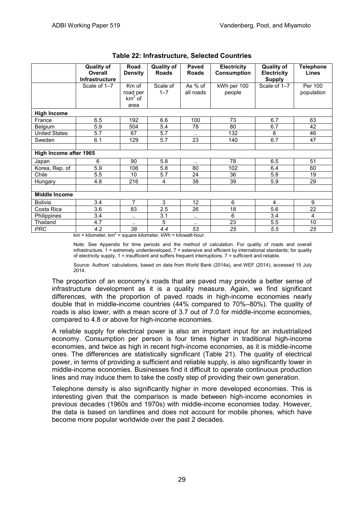|                               | <b>Quality of</b><br><b>Overall</b><br><b>Infrastructure</b> | Road<br><b>Density</b> | <b>Quality of</b><br><b>Roads</b> | <b>Paved</b><br><b>Roads</b> | <b>Electricity</b><br><b>Consumption</b> | <b>Quality of</b><br><b>Electricity</b><br><b>Supply</b> | <b>Telephone</b><br>Lines |
|-------------------------------|--------------------------------------------------------------|------------------------|-----------------------------------|------------------------------|------------------------------------------|----------------------------------------------------------|---------------------------|
|                               | Scale of 1-7                                                 | Km of                  | Scale of                          | As % of                      | kWh per 100                              | Scale of 1-7                                             | Per 100                   |
|                               |                                                              | road per               | $1 - 7$                           | all roads                    | people                                   |                                                          | population                |
|                               |                                                              | $km2$ of<br>area       |                                   |                              |                                          |                                                          |                           |
| <b>High Income</b>            |                                                              |                        |                                   |                              |                                          |                                                          |                           |
| France                        | 6.5                                                          | 192                    | 6.6                               | 100                          | 73                                       | 6.7                                                      | 63                        |
| Belgium                       | 5.9                                                          | 504                    | 5.4                               | 78                           | 80                                       | 6.7                                                      | 42                        |
| <b>United States</b>          | 5.7                                                          | 67                     | 5.7                               | $\cdot$ .                    | 132                                      | 6                                                        | 46                        |
| Sweden                        | 6.1                                                          | 129                    | 5.7                               | 23                           | 140                                      | 6.7                                                      | 47                        |
|                               |                                                              |                        |                                   |                              |                                          |                                                          |                           |
| <b>High Income after 1965</b> |                                                              |                        |                                   |                              |                                          |                                                          |                           |
| Japan                         | 6                                                            | 90                     | 5.8                               | $\cdot$ .                    | 78                                       | 6.5                                                      | 51                        |
| Korea, Rep. of                | 5.9                                                          | 106                    | 5.8                               | 80                           | 102                                      | 6.4                                                      | 60                        |
| Chile                         | 5.5                                                          | 10                     | 5.7                               | 24                           | 36                                       | 5.8                                                      | 19                        |
| Hungary                       | 4.8                                                          | 216                    | 4                                 | 38                           | 39                                       | 5.9                                                      | 29                        |
|                               |                                                              |                        |                                   |                              |                                          |                                                          |                           |
| <b>Middle Income</b>          |                                                              |                        |                                   |                              |                                          |                                                          |                           |
| <b>Bolivia</b>                | 3.4                                                          | 7                      | 3                                 | 12                           | 6                                        | 4                                                        | 9                         |
| Costa Rica                    | 3.6                                                          | 83                     | 2.5                               | 26                           | 18                                       | 5.6                                                      | 22                        |
| Philippines                   | 3.4                                                          | $\sim$                 | 3.1                               |                              | 6                                        | 3.4                                                      | $\overline{4}$            |
| Thailand                      | 4.7                                                          | $\cdot$ .              | 5                                 | $\sim$                       | 23                                       | 5.5                                                      | 10                        |
| <b>PRC</b>                    | 4.2                                                          | $\overline{38}$        | 4.4                               | 53                           | 25                                       | $\overline{5.5}$                                         | 25                        |

| <b>Table 22: Infrastructure, Selected Countries</b> |  |  |
|-----------------------------------------------------|--|--|
|-----------------------------------------------------|--|--|

 $km = kilometer, km<sup>2</sup> = square kilometer, kWh = kilowatt-hour.$ 

Note: See Appendix for time periods and the method of calculation. For quality of roads and overall infrastructure,  $1 =$  extremely underdeveloped,  $7 =$  extensive and efficient by international standards; for quality of electricity supply, 1 = insufficient and suffers frequent interruptions, 7 = sufficient and reliable.

Source: Authors' calculations, based on data from World Bank (2014a), and WEF (2014), accessed 15 July 2014.

The proportion of an economy's roads that are paved may provide a better sense of infrastructure development as it is a quality measure. Again, we find significant differences, with the proportion of paved roads in high-income economies nearly double that in middle-income countries (44% compared to 70%–80%). The quality of roads is also lower, with a mean score of 3.7 out of 7.0 for middle-income economies, compared to 4.8 or above for high-income economies.

A reliable supply for electrical power is also an important input for an industrialized economy. Consumption per person is four times higher in traditional high-income economies, and twice as high in recent high-income economies, as it is middle-income ones. The differences are statistically significant (Table 21). The quality of electrical power, in terms of providing a sufficient and reliable supply, is also significantly lower in middle-income economies. Businesses find it difficult to operate continuous production lines and may induce them to take the costly step of providing their own generation.

Telephone density is also significantly higher in more developed economies. This is interesting given that the comparison is made between high-income economies in previous decades (1960s and 1970s) with middle-income economies today. However, the data is based on landlines and does not account for mobile phones, which have become more popular worldwide over the past 2 decades.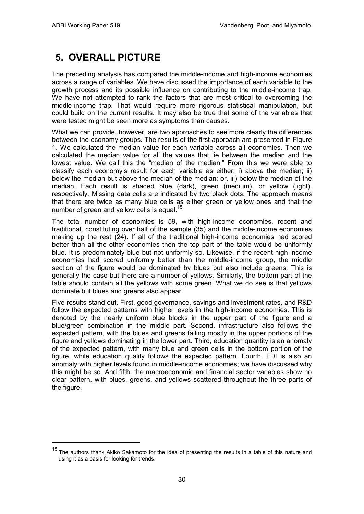-

## **5. OVERALL PICTURE**

The preceding analysis has compared the middle-income and high-income economies across a range of variables. We have discussed the importance of each variable to the growth process and its possible influence on contributing to the middle-income trap. We have not attempted to rank the factors that are most critical to overcoming the middle-income trap. That would require more rigorous statistical manipulation, but could build on the current results. It may also be true that some of the variables that were tested might be seen more as symptoms than causes.

What we can provide, however, are two approaches to see more clearly the differences between the economy groups. The results of the first approach are presented in Figure 1. We calculated the median value for each variable across all economies. Then we calculated the median value for all the values that lie between the median and the lowest value. We call this the "median of the median." From this we were able to classify each economy's result for each variable as either: i) above the median; ii) below the median but above the median of the median; or, iii) below the median of the median. Each result is shaded blue (dark), green (medium), or yellow (light), respectively. Missing data cells are indicated by two black dots. The approach means that there are twice as many blue cells as either green or yellow ones and that the number of green and yellow cells is equal.<sup>15</sup>

The total number of economies is 59, with high-income economies, recent and traditional, constituting over half of the sample (35) and the middle-income economies making up the rest (24). If all of the traditional high-income economies had scored better than all the other economies then the top part of the table would be uniformly blue. It is predominately blue but not uniformly so. Likewise, if the recent high-income economies had scored uniformly better than the middle-income group, the middle section of the figure would be dominated by blues but also include greens. This is generally the case but there are a number of yellows. Similarly, the bottom part of the table should contain all the yellows with some green. What we do see is that yellows dominate but blues and greens also appear.

Five results stand out. First, good governance, savings and investment rates, and R&D follow the expected patterns with higher levels in the high-income economies. This is denoted by the nearly uniform blue blocks in the upper part of the figure and a blue/green combination in the middle part. Second, infrastructure also follows the expected pattern, with the blues and greens falling mostly in the upper portions of the figure and yellows dominating in the lower part. Third, education quantity is an anomaly of the expected pattern, with many blue and green cells in the bottom portion of the figure, while education quality follows the expected pattern. Fourth, FDI is also an anomaly with higher levels found in middle-income economies; we have discussed why this might be so. And fifth, the macroeconomic and financial sector variables show no clear pattern, with blues, greens, and yellows scattered throughout the three parts of the figure.

<sup>&</sup>lt;sup>15</sup> The authors thank Akiko Sakamoto for the idea of presenting the results in a table of this nature and using it as a basis for looking for trends.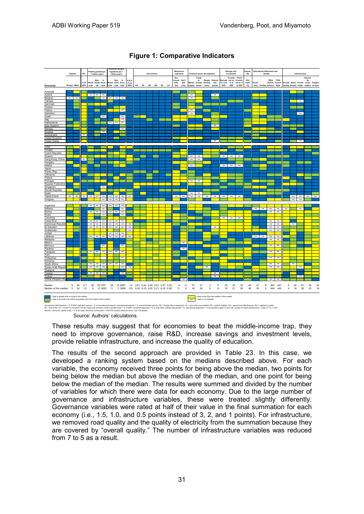

#### **Figure 1: Comparative Indicators**

Source: Authors' calculations.

These results may suggest that for economies to beat the middle-income trap, they need to improve governance, raise R&D, increase savings and investment levels, provide reliable infrastructure, and increase the quality of education.

The results of the second approach are provided in Table 23. In this case, we developed a ranking system based on the medians described above. For each variable, the economy received three points for being above the median, two points for being below the median but above the median of the median, and one point for being below the median of the median. The results were summed and divided by the number of variables for which there were data for each economy. Due to the large number of governance and infrastructure variables, these were treated slightly differently. Governance variables were rated at half of their value in the final summation for each economy (i.e., 1.5, 1.0, and 0.5 points instead of 3, 2, and 1 points). For infrastructure, we removed road quality and the quality of electricity from the summation because they are covered by "overall quality." The number of infrastructure variables was reduced from 7 to 5 as a result.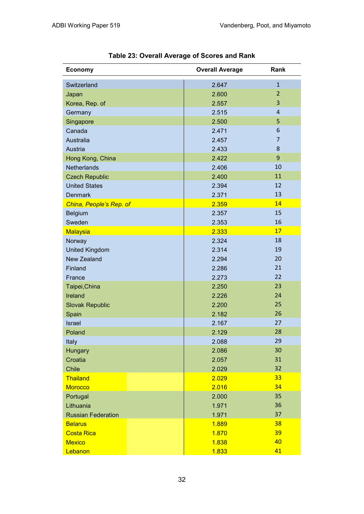| <b>Economy</b>            | <b>Overall Average</b> | Rank           |
|---------------------------|------------------------|----------------|
| Switzerland               | 2.647                  | $\mathbf{1}$   |
| Japan                     | 2.600                  | $\overline{2}$ |
| Korea, Rep. of            | 2.557                  | 3              |
| Germany                   | 2.515                  | $\overline{4}$ |
| Singapore                 | 2.500                  | 5              |
| Canada                    | 2.471                  | 6              |
| Australia                 | 2.457                  | $\overline{7}$ |
| Austria                   | 2.433                  | 8              |
| Hong Kong, China          | 2.422                  | 9              |
| <b>Netherlands</b>        | 2.406                  | 10             |
| <b>Czech Republic</b>     | 2.400                  | 11             |
| <b>United States</b>      | 2.394                  | 12             |
| <b>Denmark</b>            | 2.371                  | 13             |
| China, People's Rep. of   | 2.359                  | 14             |
| Belgium                   | 2.357                  | 15             |
| Sweden                    | 2.353                  | 16             |
| Malaysia                  | 2.333                  | 17             |
| Norway                    | 2.324                  | 18             |
| <b>United Kingdom</b>     | 2.314                  | 19             |
| <b>New Zealand</b>        | 2.294                  | 20             |
| Finland                   | 2.286                  | 21             |
| France                    | 2.273                  | 22             |
| Taipei, China             | 2.250                  | 23             |
| Ireland                   | 2.226                  | 24             |
| <b>Slovak Republic</b>    | 2.200                  | 25             |
| Spain                     | 2.182                  | 26             |
| <b>Israel</b>             | 2.167                  | 27             |
| Poland                    | 2.129                  | 28             |
| Italy                     | 2.088                  | 29             |
| Hungary                   | 2.086                  | 30             |
| Croatia                   | 2.057                  | 31             |
| Chile                     | 2.029                  | 32             |
| Thailand                  | 2.029                  | 33             |
| <b>Morocco</b>            | 2.016                  | 34             |
| Portugal                  | 2.000                  | 35             |
| Lithuania                 | 1.971                  | 36             |
| <b>Russian Federation</b> | 1.971                  | 37             |
| <b>Belarus</b>            | 1.889                  | 38             |
| <b>Costa Rica</b>         | 1.870                  | 39             |
| <b>Mexico</b>             | 1.838                  | 40             |
| Lebanon                   | 1.833                  | 41             |

**Table 23: Overall Average of Scores and Rank**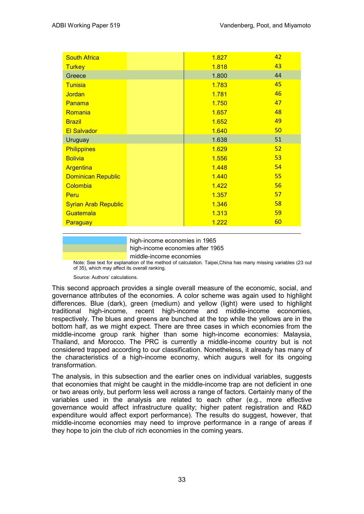| <b>South Africa</b>         | 1.827 | 42 |
|-----------------------------|-------|----|
| <b>Turkey</b>               | 1.818 | 43 |
| Greece                      | 1.800 | 44 |
| <b>Tunisia</b>              | 1.783 | 45 |
| Jordan                      | 1.781 | 46 |
| Panama                      | 1.750 | 47 |
| Romania                     | 1.657 | 48 |
| <b>Brazil</b>               | 1.652 | 49 |
| <b>El Salvador</b>          | 1.640 | 50 |
| Uruguay                     | 1.638 | 51 |
| <b>Philippines</b>          | 1.629 | 52 |
| <b>Bolivia</b>              | 1.556 | 53 |
| Argentina                   | 1.448 | 54 |
| <b>Dominican Republic</b>   | 1.440 | 55 |
| Colombia                    | 1.422 | 56 |
| Peru                        | 1.357 | 57 |
| <b>Syrian Arab Republic</b> | 1.346 | 58 |
| Guatemala                   | 1.313 | 59 |
| Paraguay                    | 1.222 | 60 |
|                             |       |    |

high-income economies in 1965 high-income economies after 1965

middle-income economies

Note: See text for explanation of the method of calculation. Taipei,China has many missing variables (23 out of 35), which may affect its overall ranking.

Source: Authors' calculations.

This second approach provides a single overall measure of the economic, social, and governance attributes of the economies. A color scheme was again used to highlight differences. Blue (dark), green (medium) and yellow (light) were used to highlight traditional high-income, recent high-income and middle-income economies, respectively. The blues and greens are bunched at the top while the yellows are in the bottom half, as we might expect. There are three cases in which economies from the middle-income group rank higher than some high-income economies: Malaysia, Thailand, and Morocco. The PRC is currently a middle-income country but is not considered trapped according to our classification. Nonetheless, it already has many of the characteristics of a high-income economy, which augurs well for its ongoing transformation.

The analysis, in this subsection and the earlier ones on individual variables, suggests that economies that might be caught in the middle-income trap are not deficient in one or two areas only, but perform less well across a range of factors. Certainly many of the variables used in the analysis are related to each other (e.g., more effective governance would affect infrastructure quality; higher patent registration and R&D expenditure would affect export performance). The results do suggest, however, that middle-income economies may need to improve performance in a range of areas if they hope to join the club of rich economies in the coming years.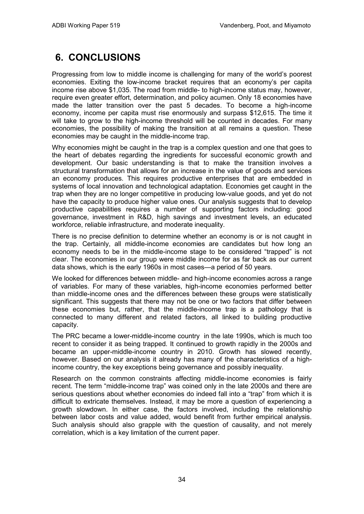# **6. CONCLUSIONS**

Progressing from low to middle income is challenging for many of the world's poorest economies. Exiting the low-income bracket requires that an economy's per capita income rise above \$1,035. The road from middle- to high-income status may, however, require even greater effort, determination, and policy acumen. Only 18 economies have made the latter transition over the past 5 decades. To become a high-income economy, income per capita must rise enormously and surpass \$12,615. The time it will take to grow to the high-income threshold will be counted in decades. For many economies, the possibility of making the transition at all remains a question. These economies may be caught in the middle-income trap.

Why economies might be caught in the trap is a complex question and one that goes to the heart of debates regarding the ingredients for successful economic growth and development. Our basic understanding is that to make the transition involves a structural transformation that allows for an increase in the value of goods and services an economy produces. This requires productive enterprises that are embedded in systems of local innovation and technological adaptation. Economies get caught in the trap when they are no longer competitive in producing low-value goods, and yet do not have the capacity to produce higher value ones. Our analysis suggests that to develop productive capabilities requires a number of supporting factors including: good governance, investment in R&D, high savings and investment levels, an educated workforce, reliable infrastructure, and moderate inequality.

There is no precise definition to determine whether an economy is or is not caught in the trap. Certainly, all middle-income economies are candidates but how long an economy needs to be in the middle-income stage to be considered "trapped" is not clear. The economies in our group were middle income for as far back as our current data shows, which is the early 1960s in most cases—a period of 50 years.

We looked for differences between middle- and high-income economies across a range of variables. For many of these variables, high-income economies performed better than middle-income ones and the differences between these groups were statistically significant. This suggests that there may not be one or two factors that differ between these economies but, rather, that the middle-income trap is a pathology that is connected to many different and related factors, all linked to building productive capacity.

The PRC became a lower-middle-income country in the late 1990s, which is much too recent to consider it as being trapped. It continued to growth rapidly in the 2000s and became an upper-middle-income country in 2010. Growth has slowed recently, however. Based on our analysis it already has many of the characteristics of a highincome country, the key exceptions being governance and possibly inequality.

Research on the common constraints affecting middle-income economies is fairly recent. The term "middle-income trap" was coined only in the late 2000s and there are serious questions about whether economies do indeed fall into a "trap" from which it is difficult to extricate themselves. Instead, it may be more a question of experiencing a growth slowdown. In either case, the factors involved, including the relationship between labor costs and value added, would benefit from further empirical analysis. Such analysis should also grapple with the question of causality, and not merely correlation, which is a key limitation of the current paper.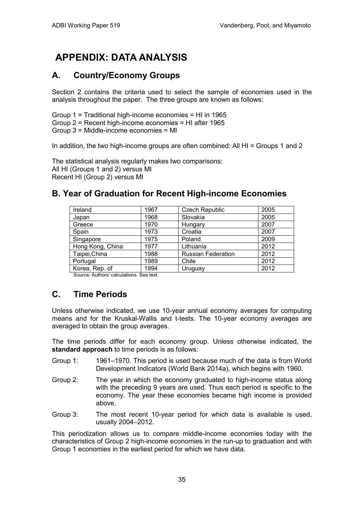# **APPENDIX: DATA ANALYSIS**

### **A. Country/Economy Groups**

Section 2 contains the criteria used to select the sample of economies used in the analysis throughout the paper. The three groups are known as follows:

Group 1 = Traditional high-income economies = HI in 1965 Group 2 = Recent high-income economies = HI after 1965 Group 3 = Middle-income economies = MI

In addition, the two high-income groups are often combined: All HI = Groups 1 and 2

The statistical analysis regularly makes two comparisons: All HI (Groups 1 and 2) versus MI Recent HI (Group 2) versus MI

### **B. Year of Graduation for Recent High-income Economies**

| Ireland                                                             | 1967 | <b>Czech Republic</b>     | 2005 |  |  |
|---------------------------------------------------------------------|------|---------------------------|------|--|--|
| Japan                                                               | 1968 | Slovakia                  | 2005 |  |  |
| Greece                                                              | 1970 | Hungary                   | 2007 |  |  |
| Spain                                                               | 1973 | Croatia                   | 2007 |  |  |
| Singapore                                                           | 1975 | Poland                    | 2009 |  |  |
| Hong Kong, China                                                    | 1977 | Lithuania                 | 2012 |  |  |
| Taipei, China                                                       | 1988 | <b>Russian Federation</b> | 2012 |  |  |
| Portugal                                                            | 1989 | Chile                     | 2012 |  |  |
| Korea, Rep. of                                                      | 1994 | Uruguay                   | 2012 |  |  |
| $\sim$ $\sim$ $\sim$ $\sim$ $\sim$ $\sim$ $\sim$ $\sim$<br><u>.</u> |      |                           |      |  |  |

Source: Authors' calculations. See text.

### **C. Time Periods**

Unless otherwise indicated, we use 10-year annual economy averages for computing means and for the Kruskal-Wallis and t-tests. The 10-year economy averages are averaged to obtain the group averages.

The time periods differ for each economy group. Unless otherwise indicated, the **standard approach** to time periods is as follows:

- Group 1: 1961–1970. This period is used because much of the data is from World Development Indicators (World Bank 2014a), which begins with 1960.
- Group 2: The year in which the economy graduated to high-income status along with the preceding 9 years are used. Thus each period is specific to the economy. The year these economies became high income is provided above.
- Group 3: The most recent 10-year period for which data is available is used, usually 2004–2012.

This periodization allows us to compare middle-income economies today with the characteristics of Group 2 high-income economies in the run-up to graduation and with Group 1 economies in the earliest period for which we have data.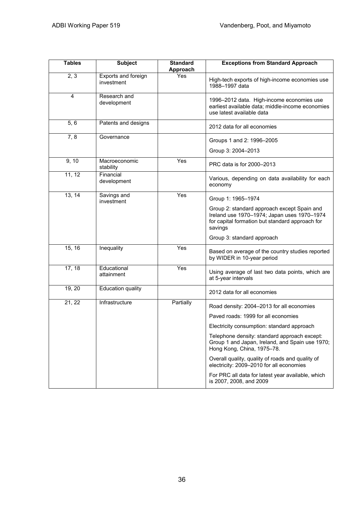| <b>Tables</b> | <b>Subject</b>                    | <b>Standard</b><br>Approach | <b>Exceptions from Standard Approach</b>                                                                                                                 |
|---------------|-----------------------------------|-----------------------------|----------------------------------------------------------------------------------------------------------------------------------------------------------|
| 2, 3          | Exports and foreign<br>investment | Yes                         | High-tech exports of high-income economies use<br>1988-1997 data                                                                                         |
| 4             | Research and<br>development       |                             | 1996-2012 data. High-income economies use<br>earliest available data; middle-income economies<br>use latest available data                               |
| 5, 6          | Patents and designs               |                             | 2012 data for all economies                                                                                                                              |
| 7,8           | Governance                        |                             | Groups 1 and 2: 1996-2005<br>Group 3: 2004-2013                                                                                                          |
| 9, 10         | Macroeconomic<br>stability        | Yes                         | PRC data is for 2000-2013                                                                                                                                |
| 11, 12        | Financial<br>development          |                             | Various, depending on data availability for each<br>economy                                                                                              |
| 13, 14        | Savings and<br>investment         | Yes                         | Group 1: 1965-1974                                                                                                                                       |
|               |                                   |                             | Group 2: standard approach except Spain and<br>Ireland use 1970-1974; Japan uses 1970-1974<br>for capital formation but standard approach for<br>savings |
|               |                                   |                             | Group 3: standard approach                                                                                                                               |
| 15, 16        | Inequality                        | Yes                         | Based on average of the country studies reported<br>by WIDER in 10-year period                                                                           |
| 17, 18        | Educational<br>attainment         | Yes                         | Using average of last two data points, which are<br>at 5-year intervals                                                                                  |
| 19, 20        | <b>Education quality</b>          |                             | 2012 data for all economies                                                                                                                              |
| 21, 22        | Infrastructure                    | Partially                   | Road density: 2004-2013 for all economies                                                                                                                |
|               |                                   |                             | Paved roads: 1999 for all economies                                                                                                                      |
|               |                                   |                             | Electricity consumption: standard approach                                                                                                               |
|               |                                   |                             | Telephone density: standard approach except:<br>Group 1 and Japan, Ireland, and Spain use 1970;<br>Hong Kong, China, 1975-78.                            |
|               |                                   |                             | Overall quality, quality of roads and quality of<br>electricity: 2009-2010 for all economies                                                             |
|               |                                   |                             | For PRC all data for latest year available, which<br>is 2007, 2008, and 2009                                                                             |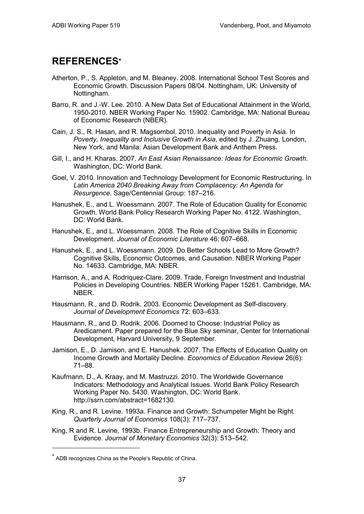## **REFERENCES**<sup>∗</sup>

- Atherton, P., S. Appleton, and M. Bleaney. 2008. International School Test Scores and Economic Growth. [Discussion Papers](http://ideas.repec.org/s/not/notcre.html) 08/04. Nottingham, UK: University of Nottingham.
- Barro, R. and J.-W. Lee. 2010. [A New Data Set of Educational Attainment in the World,](http://www.nber.org/papers/w15902)  [1950-2010.](http://www.nber.org/papers/w15902) NBER Working Paper No. 15902. Cambridge, MA: National Bureau of Economic Research (NBER).
- Cain, J. S., R. Hasan, and R. Magsombol. 2010. Inequality and Poverty in Asia. In *Poverty, Inequality and Inclusive Growth in Asia*, edited by J. Zhuang. London, New York, and Manila: Asian Development Bank and Anthem Press.
- Gill, I., and H. Kharas. 2007. *An East Asian Renaissance: Ideas for Economic Growth*. Washington, DC: World Bank.
- Goel, V. 2010. Innovation and Technology Development for Economic Restructuring. In *Latin America 2040 Breaking Away from Complacency: An Agenda for Resurgence*. Sage/Centennial Group: 187–216.
- Hanushek, E., and L. Woessmann. 2007. The Role of Education Quality for Economic Growth. World Bank Policy Research Working Paper No. 4122. Washington, DC: World Bank.
- Hanushek, E., and L. Woessmann. 2008. The Role of Cognitive Skills in Economic Development. *Journal of Economic Literature* 46: 607–668.
- Hanushek, E., and L. Woessmann. 2009. Do Better Schools Lead to More Growth? Cognitive Skills, Economic Outcomes, and Causation. NBER Working Paper No. 14633. Cambridge, MA: NBER.
- Harrison, A., and A. Rodriquez-Clare. 2009. Trade, Foreign Investment and Industrial Policies in Developing Countries. NBER Working Paper 15261. Cambridge, MA: NBER.
- Hausmann, R., and D. Rodrik. 2003. Economic Development as Self-discovery. *Journal of Development Economics* 72: 603–633.
- Hausmann, R., and D. Rodrik. 2006. Doomed to Choose: Industrial Policy as Aredicament. Paper prepared for the Blue Sky seminar, Center for International Development, Harvard University, 9 September.
- Jamison, E., D. Jamison, and E. Hanushek. 2007. The Effects of Education Quality on Income Growth and Mortality Decline. *Economics of Education Review* 26(6): 71–88.
- Kaufmann, D., A. Kraay, and M. Mastruzzi. 2010. The Worldwide Governance Indicators: Methodology and Analytical Issues. World Bank Policy Research Working Paper No. 5430. Washington, DC: World Bank. [http://ssrn.com/abstract=1682130.](http://ssrn.com/abstract=1682130)
- King, R., and R. Levine. 1993a. Finance and Growth: Schumpeter Might be Right. *Quarterly Journal of Economics* 108(3): 717–737.
- King, R and R. Levine, 1993b. Finance Entrepreneurship and Growth: Theory and Evidence. *Journal of Monetary Economics* 32(3): 513–542.

-

<sup>∗</sup> ADB recognizes China as the People's Republic of China.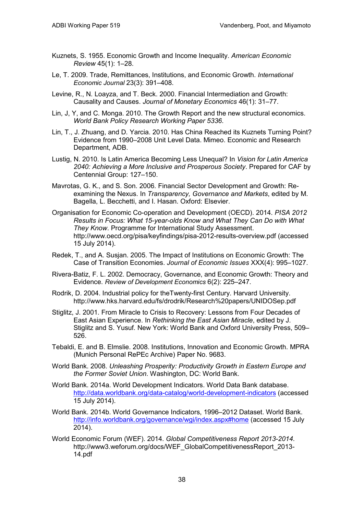- Kuznets, S. 1955. Economic Growth and Income Inequality. *American Economic Review* 45(1): 1–28.
- Le, T. 2009. Trade, Remittances, Institutions, and Economic Growth. *International Economic Journal* 23(3): 391–408.
- Levine, R., N. Loayza, and T. Beck. 2000. Financial Intermediation and Growth: Causality and Causes. *Journal of Monetary Economics* 46(1): 31–77.
- Lin, J, Y, and C. Monga. 2010. The Growth Report and the new structural economics. *World Bank Policy Research Working Paper 5336*.
- Lin, T., J. Zhuang, and D. Yarcia. 2010. Has China Reached its Kuznets Turning Point? Evidence from 1990–2008 Unit Level Data. Mimeo. Economic and Research Department, ADB.
- Lustig, N. 2010. Is Latin America Becoming Less Unequal? In *Vision for Latin America 2040: Achieving a More Inclusive and Prosperous Society*. Prepared for CAF by Centennial Group: 127–150.
- Mavrotas, G. K., and S. Son. 2006. Financial Sector Development and Growth: Reexamining the Nexus. In *Transparency, Governance and Markets*, edited by M. Bagella, L. Becchetti, and I. Hasan. Oxford: Elsevier.
- Organisation for Economic Co-operation and Development (OECD). 2014. *PISA 2012 Results in Focus: What 15-year-olds Know and What They Can Do with What They Know*. Programme for International Study Assessment. <http://www.oecd.org/pisa/keyfindings/pisa-2012-results-overview.pdf> (accessed 15 July 2014).
- Redek, T., and A. Susjan. 2005. The Impact of Institutions on Economic Growth: The Case of Transition Economies. *Journal of Economic Issues* XXX(4): 995–1027.
- Rivera-Batiz, F. L. 2002. Democracy, Governance, and Economic Growth: Theory and Evidence. *Review of Development Economics* 6(2): 225–247.
- Rodrik, D. 2004. Industrial policy for theTwenty-first Century. Harvard University. http://www.hks.harvard.edu/fs/drodrik/Research%20papers/UNIDOSep.pdf
- Stiglitz, J. 2001. From Miracle to Crisis to Recovery: Lessons from Four Decades of East Asian Experience. In *Rethinking the East Asian Miracle*, edited by J. Stiglitz and S. Yusuf*.* New York: World Bank and Oxford University Press, 509– 526.
- Tebaldi, E. and B. Elmslie. 2008. Institutions, Innovation and Economic Growth. MPRA (Munich Personal RePEc Archive) Paper No. 9683.
- World Bank. 2008. *Unleashing Prosperity: Productivity Growth in Eastern Europe and the Former Soviet Union*. Washington, DC: World Bank.
- World Bank. 2014a. World Development Indicators. World Data Bank database. <http://data.worldbank.org/data-catalog/world-development-indicators> (accessed 15 July 2014).
- World Bank. 2014b. World Governance Indicators, 1996–2012 Dataset. World Bank. [http://info.worldbank.org/governance/wgi/index.aspx#home](http://info.worldbank.org/governance/wgi/index.aspx%23home) (accessed 15 July 2014).
- World Economic Forum (WEF). 2014. *Global Competitiveness Report 2013-2014*. http://www3.weforum.org/docs/WEF\_GlobalCompetitivenessReport\_2013-14.pdf